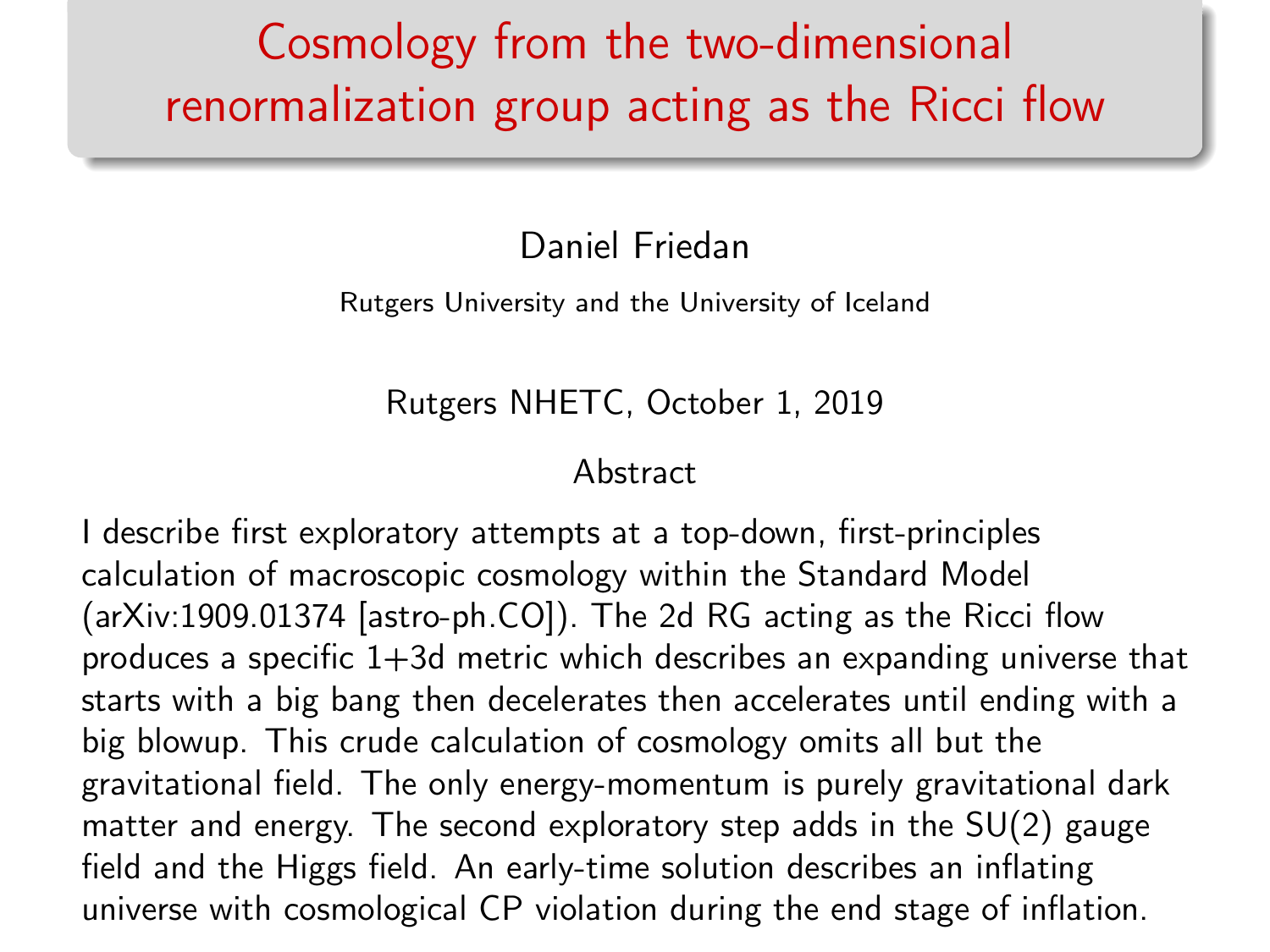## Cosmology from the two-dimensional renormalization group acting as the Ricci flow

Daniel Friedan

Rutgers University and the University of Iceland

Rutgers NHETC, October 1, 2019

Abstract

I describe first exploratory attempts at a top-down, first-principles calculation of macroscopic cosmology within the Standard Model (arXiv:1909.01374 [astro-ph.CO]). The 2d RG acting as the Ricci flow produces a specific 1+3d metric which describes an expanding universe that starts with a big bang then decelerates then accelerates until ending with a big blowup. This crude calculation of cosmology omits all but the gravitational field. The only energy-momentum is purely gravitational dark matter and energy. The second exploratory step adds in the SU(2) gauge field and the Higgs field. An early-time solution describes an inflating universe with cosmological CP violation during the end stage of inflation.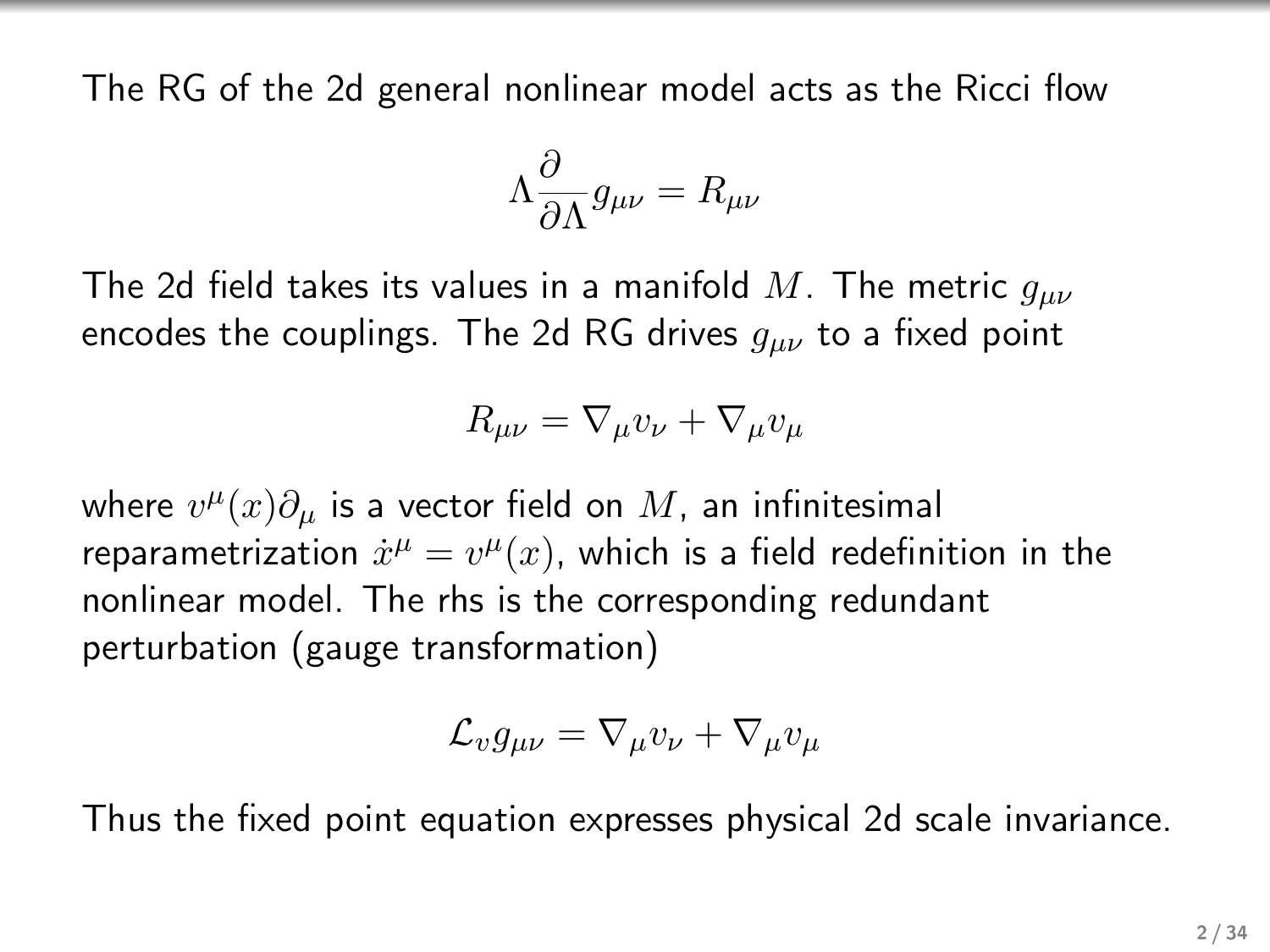The RG of the 2d general nonlinear model acts as the Ricci flow

$$
\Lambda \frac{\partial}{\partial \Lambda} g_{\mu\nu} = R_{\mu\nu}
$$

The 2d field takes its values in a manifold M. The metric  $g_{\mu\nu}$ encodes the couplings. The 2d RG drives  $g_{\mu\nu}$  to a fixed point

$$
R_{\mu\nu} = \nabla_{\mu} v_{\nu} + \nabla_{\mu} v_{\mu}
$$

where  $v^\mu(x)\partial_\mu$  is a vector field on  $M$ , an infinitesimal reparametrization  $\dot{x}^{\mu} = v^{\mu}(x)$ , which is a field redefinition in the nonlinear model. The rhs is the corresponding redundant perturbation (gauge transformation)

$$
\mathcal{L}_v g_{\mu\nu} = \nabla_\mu v_\nu + \nabla_\mu v_\mu
$$

Thus the fixed point equation expresses physical 2d scale invariance.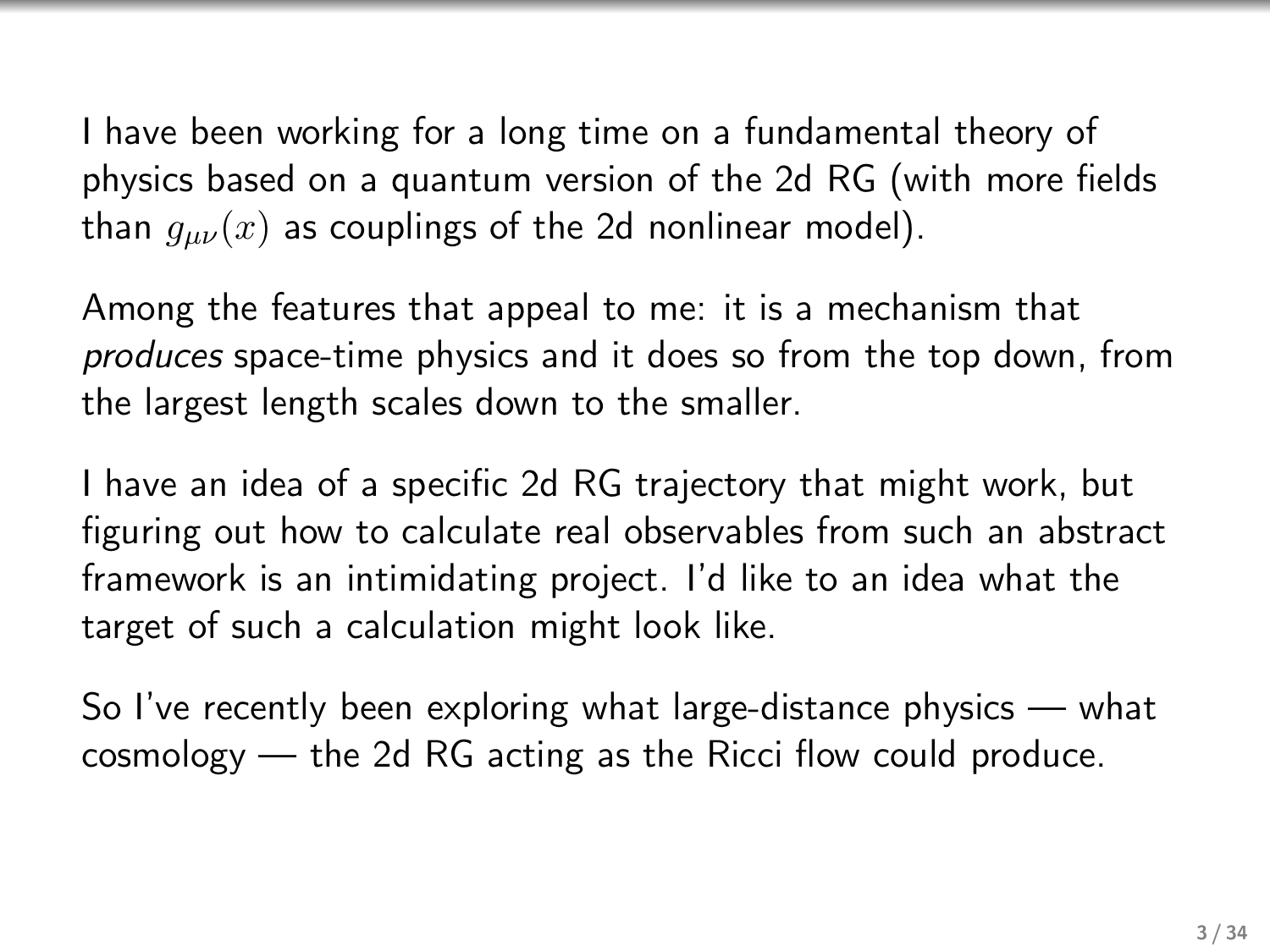I have been working for a long time on a fundamental theory of physics based on a quantum version of the 2d RG (with more fields than  $g_{\mu\nu}(x)$  as couplings of the 2d nonlinear model).

Among the features that appeal to me: it is a mechanism that produces space-time physics and it does so from the top down, from the largest length scales down to the smaller.

I have an idea of a specific 2d RG trajectory that might work, but figuring out how to calculate real observables from such an abstract framework is an intimidating project. I'd like to an idea what the target of such a calculation might look like.

So I've recently been exploring what large-distance physics — what cosmology — the 2d RG acting as the Ricci flow could produce.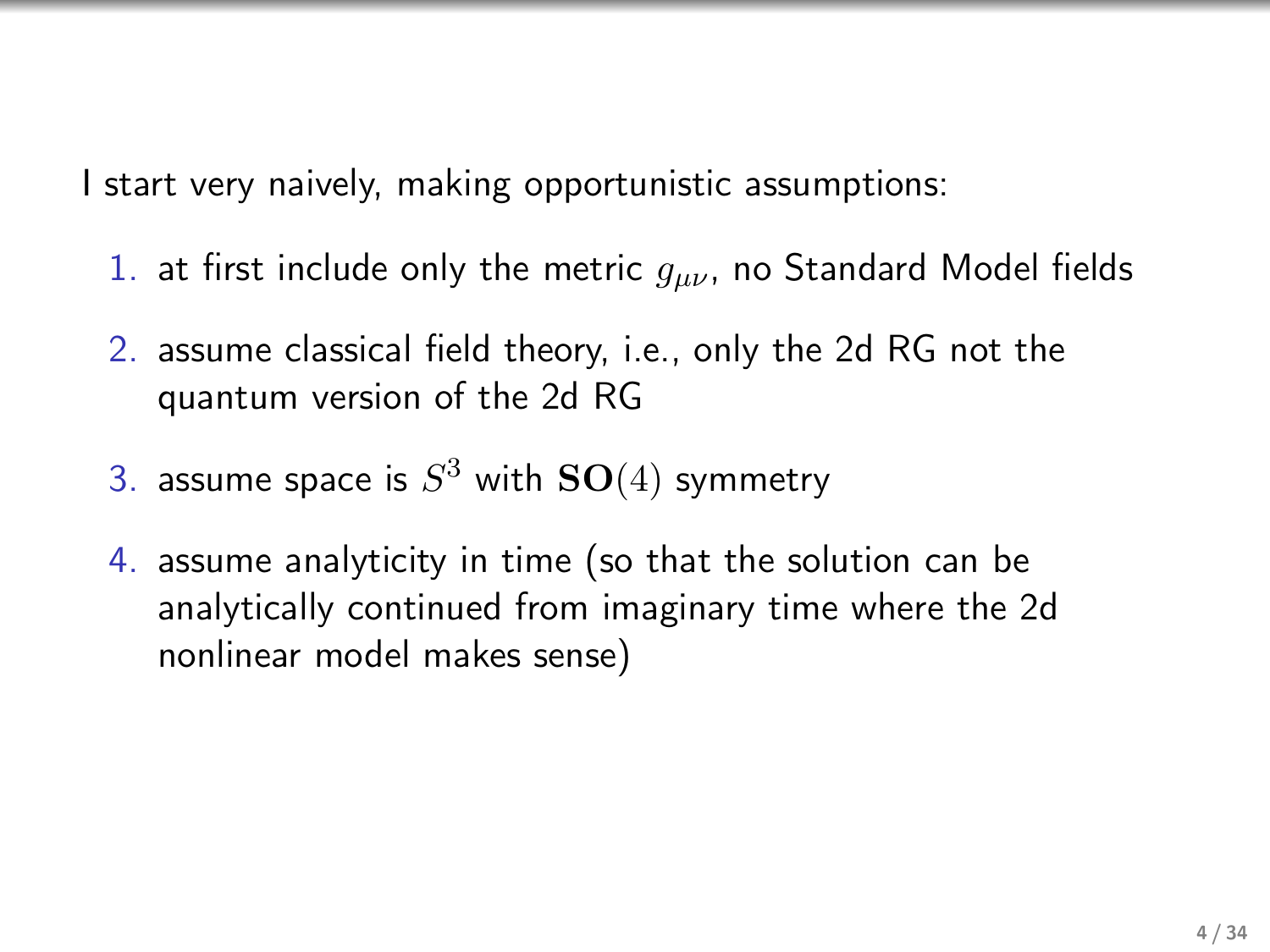I start very naively, making opportunistic assumptions:

- 1. at first include only the metric  $g_{\mu\nu}$ , no Standard Model fields
- 2. assume classical field theory, i.e., only the 2d RG not the quantum version of the 2d RG
- 3. assume space is  $S^3$  with  $\mathbf{SO}(4)$  symmetry
- 4. assume analyticity in time (so that the solution can be analytically continued from imaginary time where the 2d nonlinear model makes sense)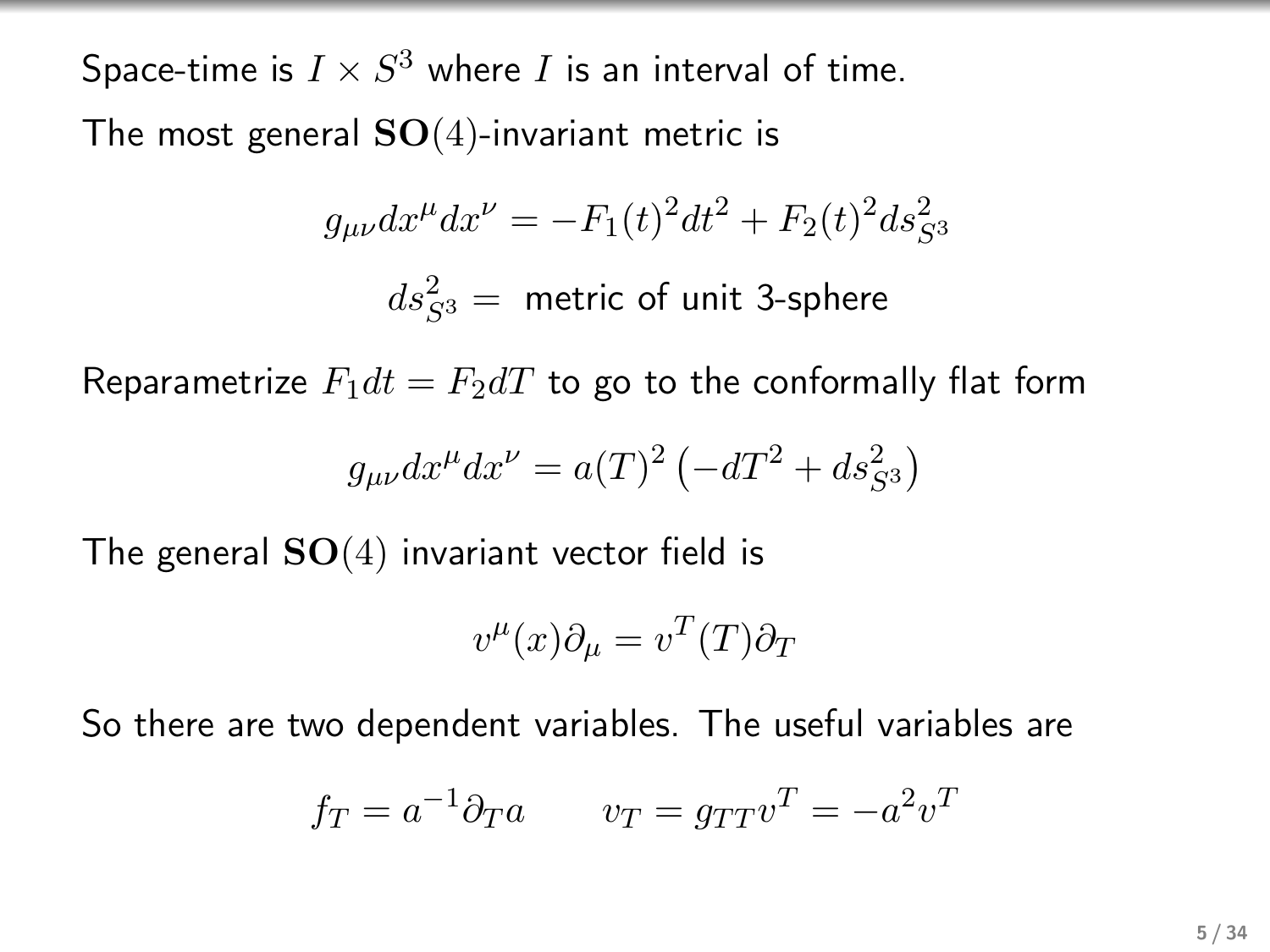Space-time is  $I\times S^3$  where  $I$  is an interval of time. The most general  $SO(4)$ -invariant metric is

$$
g_{\mu\nu}dx^{\mu}dx^{\nu} = -F_1(t)^2dt^2 + F_2(t)^2ds_{S^3}^2
$$

$$
ds_{S^3}^2 = \text{metric of unit 3-sphere}
$$

Reparametrize  $F_1dt = F_2dT$  to go to the conformally flat form

$$
g_{\mu\nu}dx^{\mu}dx^{\nu} = a(T)^{2} \left(-dT^{2} + ds_{S^{3}}^{2}\right)
$$

The general  $SO(4)$  invariant vector field is

$$
v^{\mu}(x)\partial_{\mu} = v^{T}(T)\partial_{T}
$$

So there are two dependent variables. The useful variables are

$$
f_T = a^{-1} \partial_T a \qquad v_T = g_{TT} v^T = -a^2 v^T
$$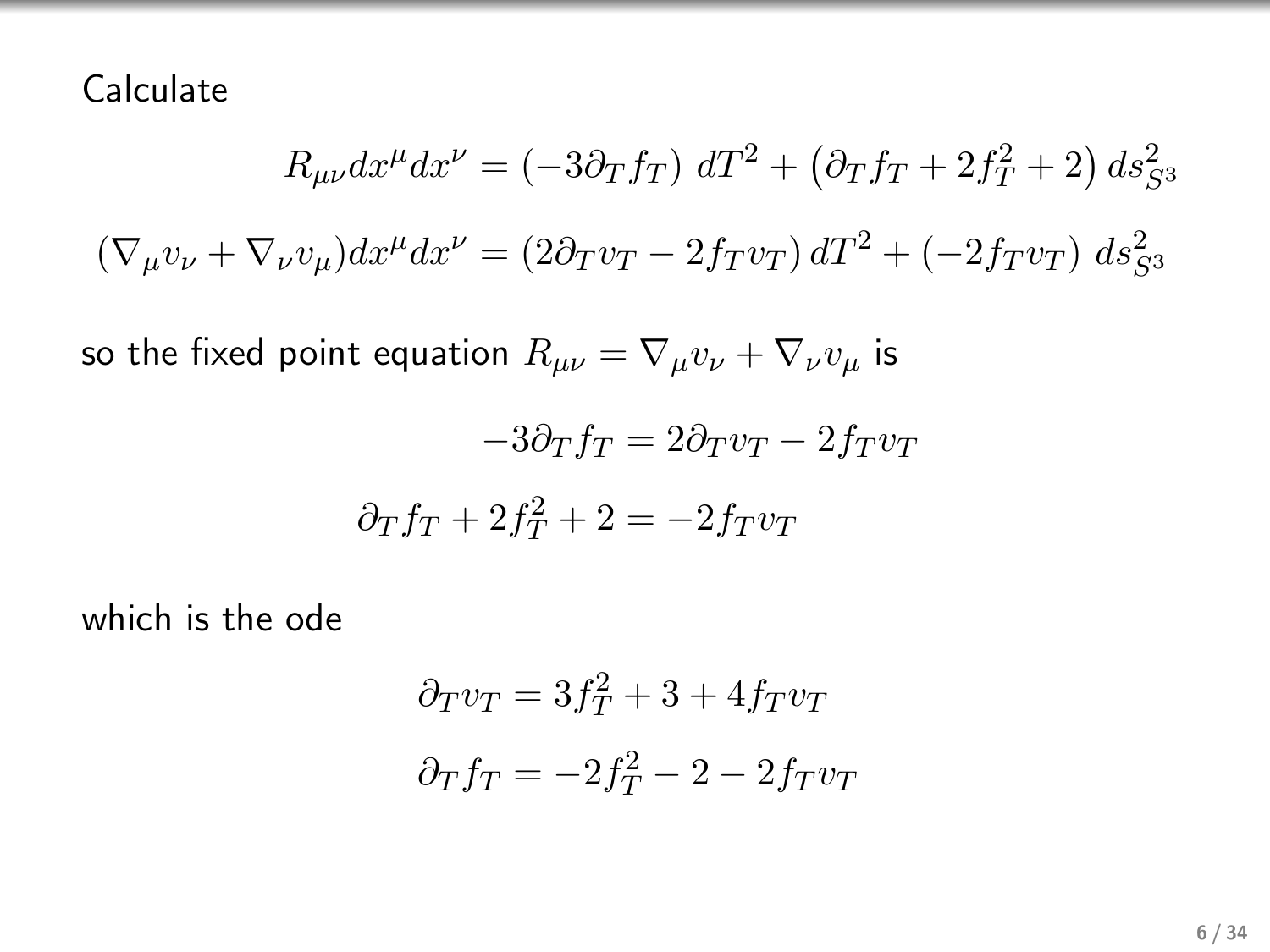Calculate

$$
R_{\mu\nu}dx^{\mu}dx^{\nu} = (-3\partial_T f_T) dT^2 + (\partial_T f_T + 2f_T^2 + 2) ds_{S^3}^2
$$
  

$$
(\nabla_{\mu}v_{\nu} + \nabla_{\nu}v_{\mu})dx^{\mu}dx^{\nu} = (2\partial_T v_T - 2f_T v_T) dT^2 + (-2f_T v_T) ds_{S^3}^2
$$

so the fixed point equation  $R_{\mu\nu} = \nabla_{\mu}v_{\nu} + \nabla_{\nu}v_{\mu}$  is

$$
-3\partial_T f_T = 2\partial_T v_T - 2f_T v_T
$$

$$
\partial_T f_T + 2f_T^2 + 2 = -2f_T v_T
$$

which is the ode

$$
\partial_T v_T = 3f_T^2 + 3 + 4f_T v_T
$$

$$
\partial_T f_T = -2f_T^2 - 2 - 2f_T v_T
$$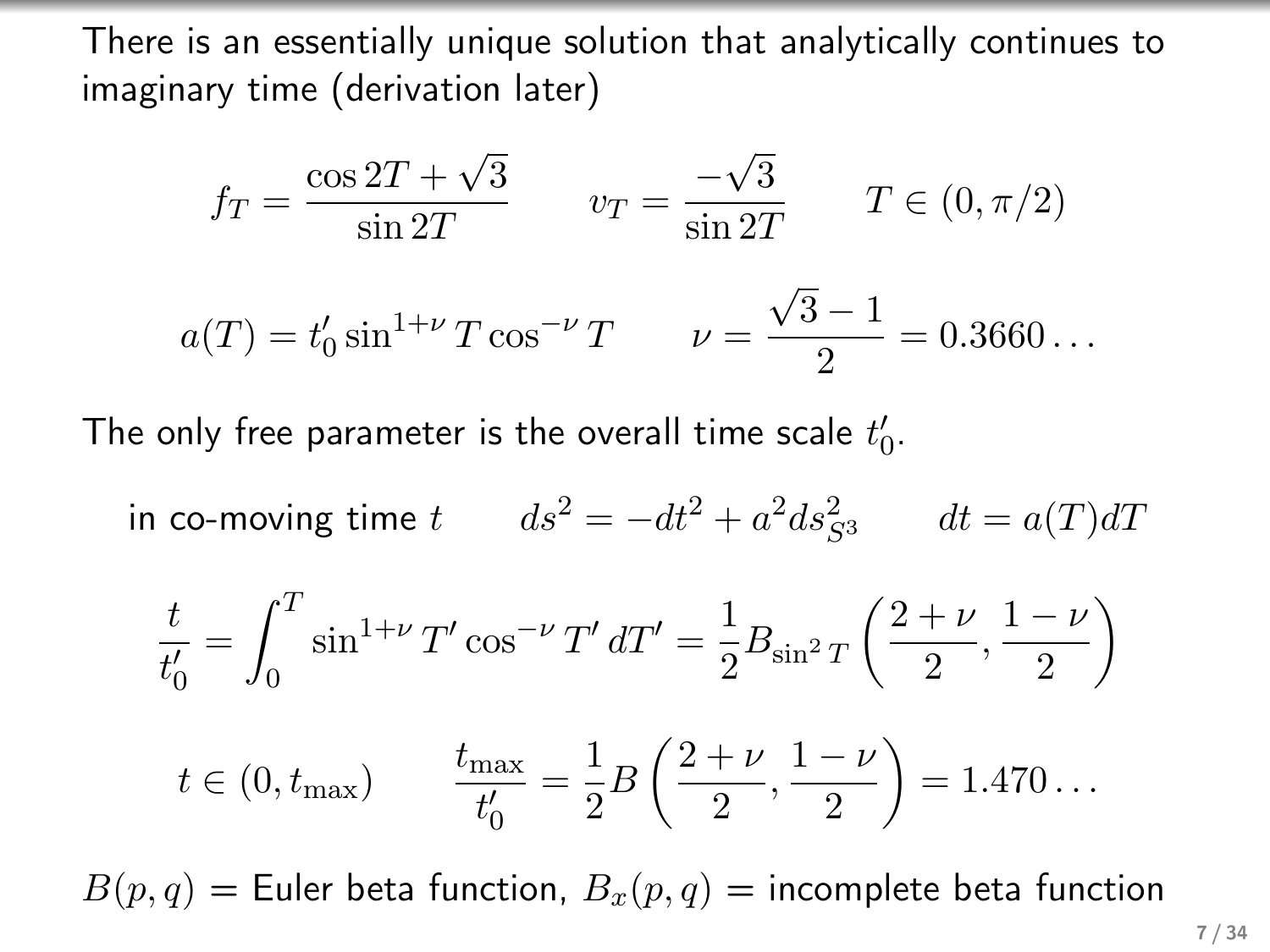There is an essentially unique solution that analytically continues to imaginary time (derivation later)

$$
f_T = \frac{\cos 2T + \sqrt{3}}{\sin 2T} \qquad v_T = \frac{-\sqrt{3}}{\sin 2T} \qquad T \in (0, \pi/2)
$$

$$
a(T) = t'_0 \sin^{1+\nu} T \cos^{-\nu} T \qquad \nu = \frac{\sqrt{3} - 1}{2} = 0.3660\dots
$$

The only free parameter is the overall time scale  $t_{0}^{\prime}.$ 

in co-moving time 
$$
t
$$
  $ds^2 = -dt^2 + a^2 ds_{S^3}^2$   $dt = a(T)dT$ 

$$
\frac{t}{t'_0} = \int_0^T \sin^{1+\nu} T' \cos^{-\nu} T' dT' = \frac{1}{2} B_{\sin^2 T} \left( \frac{2+\nu}{2}, \frac{1-\nu}{2} \right)
$$

$$
t \in (0, t_{\text{max}})
$$
  $\frac{t_{\text{max}}}{t'_0} = \frac{1}{2}B\left(\frac{2+\nu}{2}, \frac{1-\nu}{2}\right) = 1.470...$ 

 $B(p,q)$  = Euler beta function,  $B_x(p,q)$  = incomplete beta function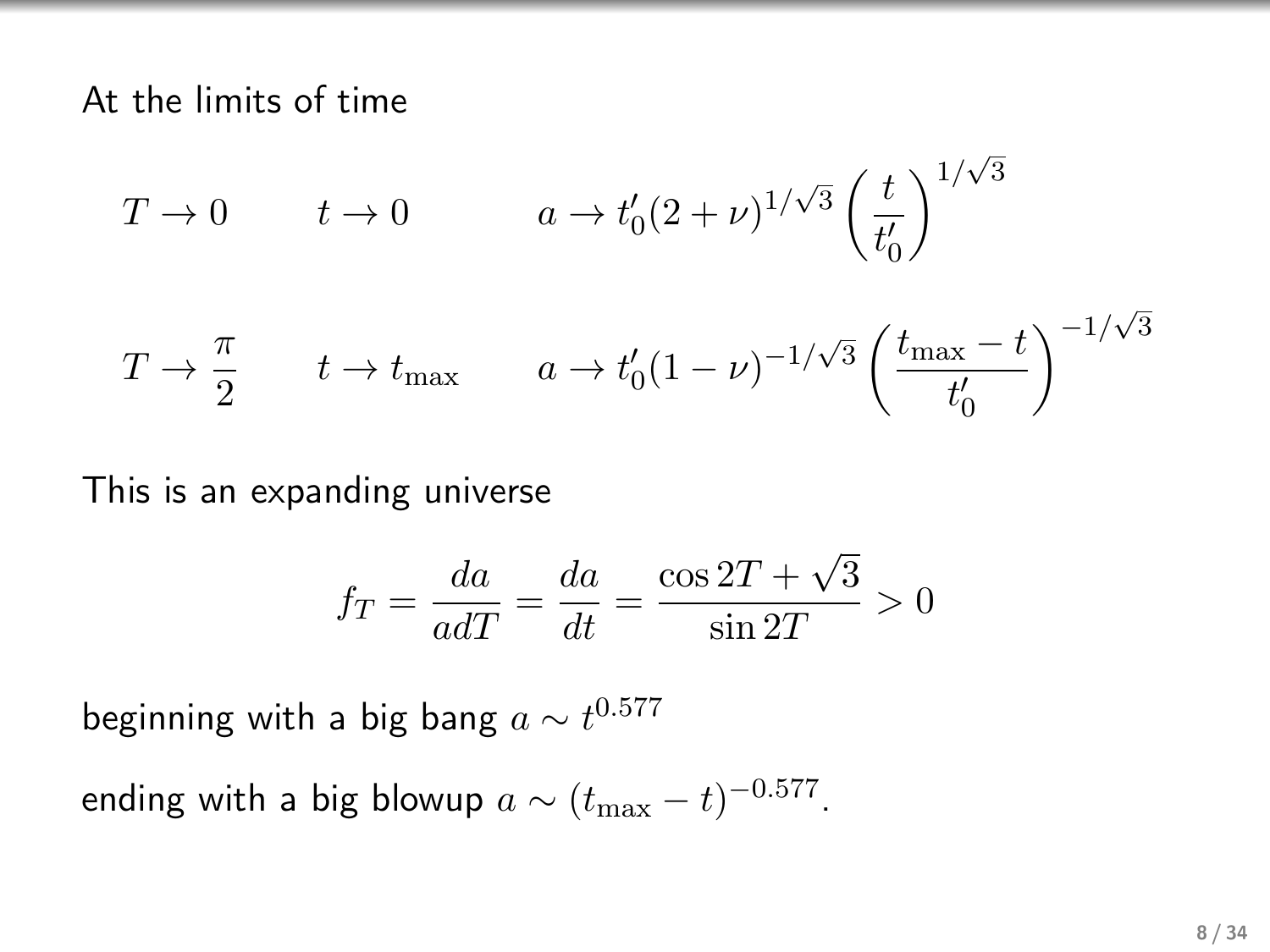At the limits of time

$$
T \to 0 \qquad t \to 0 \qquad a \to t'_0 (2 + \nu)^{1/\sqrt{3}} \left(\frac{t}{t'_0}\right)^{1/\sqrt{3}}
$$

$$
T \to \frac{\pi}{2} \qquad t \to t_{\text{max}} \qquad a \to t'_0 (1 - \nu)^{-1/\sqrt{3}} \left(\frac{t_{\text{max}} - t}{t'_0}\right)^{-1/\sqrt{3}}
$$

This is an expanding universe

$$
f_T = \frac{da}{adT} = \frac{da}{dt} = \frac{\cos 2T + \sqrt{3}}{\sin 2T} > 0
$$

beginning with a big bang  $a \sim t^{0.577}$ 

ending with a big blowup  $a \sim (t_{\rm max}-t)^{-0.577}.$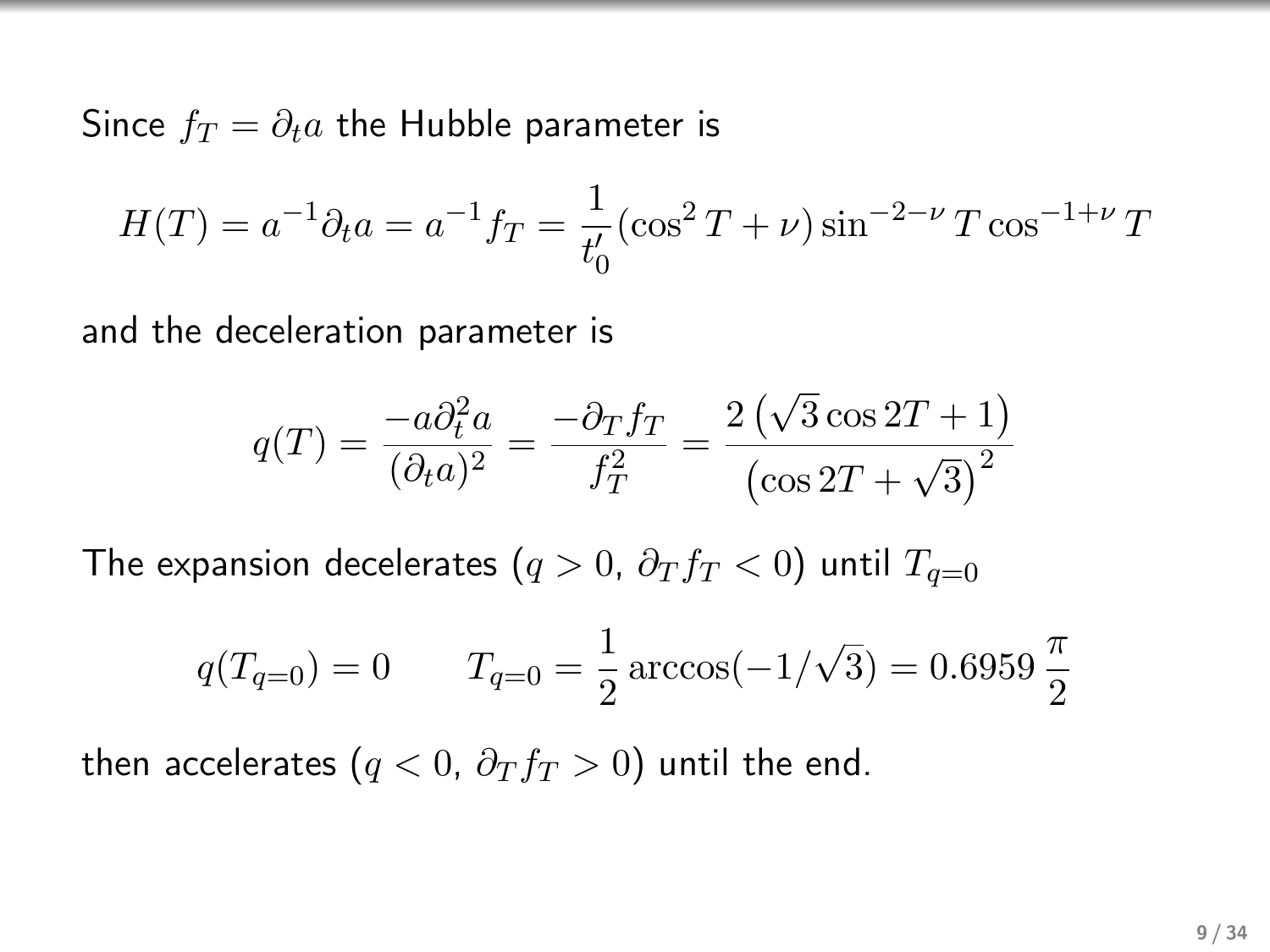Since  $f_T = \partial_t a$  the Hubble parameter is

$$
H(T) = a^{-1}\partial_t a = a^{-1}f_T = \frac{1}{t'_0}(\cos^2 T + \nu)\sin^{-2-\nu} T \cos^{-1+\nu} T
$$

and the deceleration parameter is

$$
q(T) = \frac{-a\partial_t^2 a}{(\partial_t a)^2} = \frac{-\partial_T f_T}{f_T^2} = \frac{2(\sqrt{3}\cos 2T + 1)}{(\cos 2T + \sqrt{3})^2}
$$

The expansion decelerates ( $q > 0$ ,  $\partial_T f_T < 0$ ) until  $T_{q=0}$ 

$$
q(T_{q=0}) = 0 \qquad T_{q=0} = \frac{1}{2} \arccos(-1/\sqrt{3}) = 0.6959 \frac{\pi}{2}
$$

then accelerates ( $q < 0$ ,  $\partial_T f_T > 0$ ) until the end.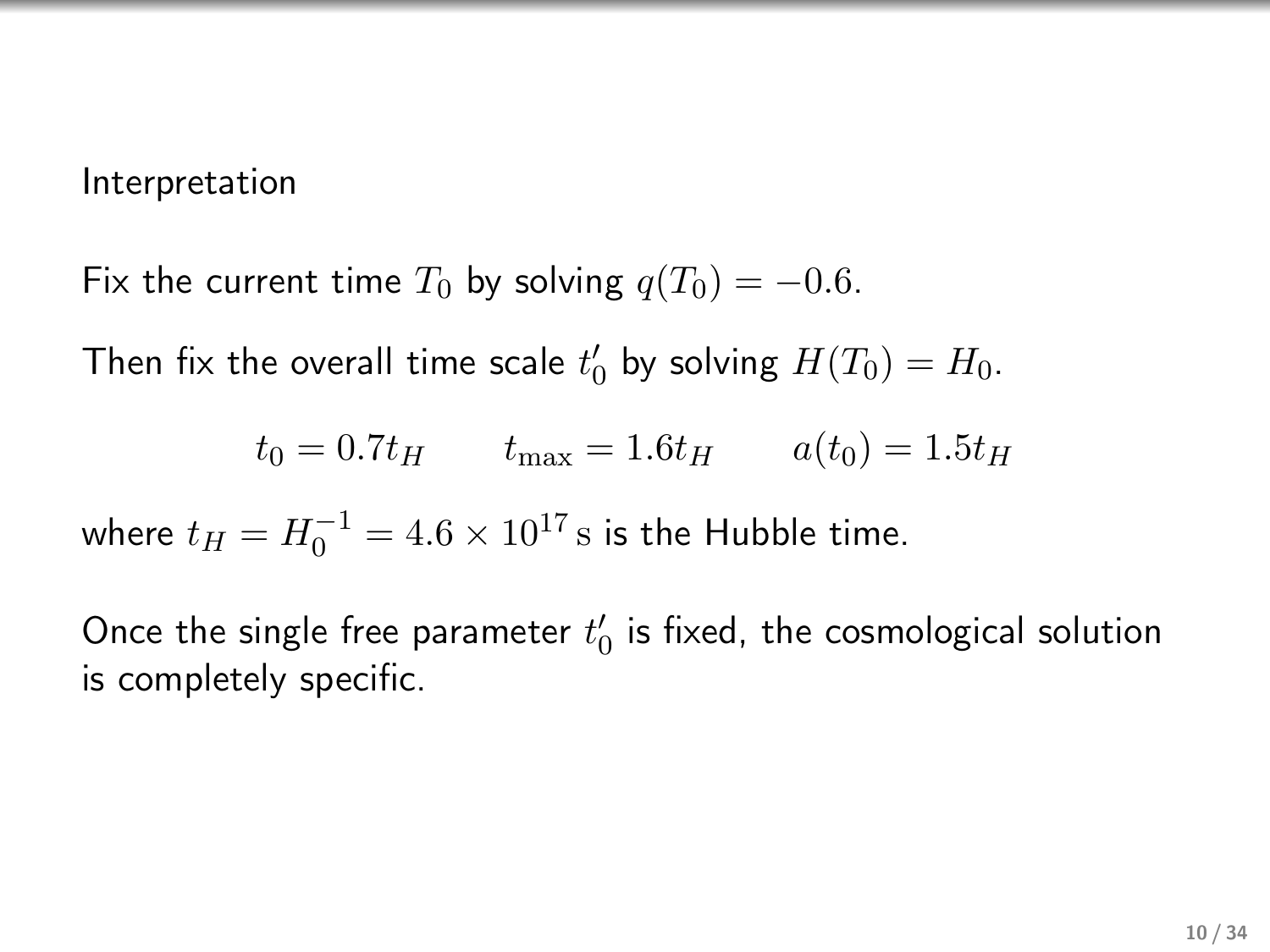## Interpretation

Fix the current time  $T_0$  by solving  $q(T_0) = -0.6$ .

Then fix the overall time scale  $t'_0$  by solving  $H(T_0) = H_0$ .

$$
t_0 = 0.7t_H \t t_{\text{max}} = 1.6t_H \t a(t_0) = 1.5t_H
$$

where  $t_H = H_0^{-1} = 4.6 \times 10^{17} \text{ s}$  is the Hubble time.

Once the single free parameter  $t_0'$  is fixed, the cosmological solution is completely specific.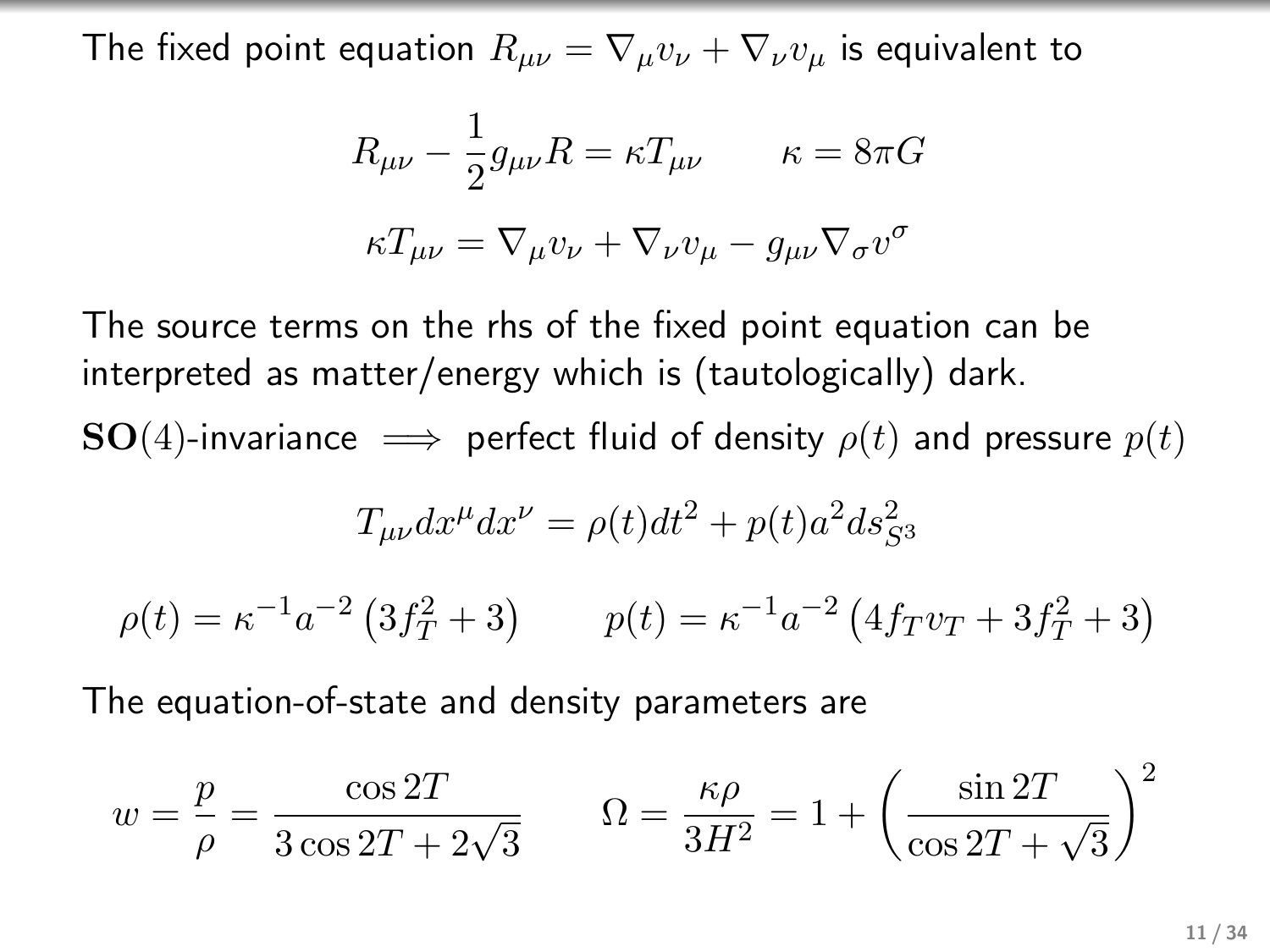The fixed point equation  $R_{\mu\nu} = \nabla_{\mu}v_{\nu} + \nabla_{\nu}v_{\mu}$  is equivalent to

$$
R_{\mu\nu} - \frac{1}{2}g_{\mu\nu}R = \kappa T_{\mu\nu} \qquad \kappa = 8\pi G
$$

$$
\kappa T_{\mu\nu} = \nabla_{\mu}v_{\nu} + \nabla_{\nu}v_{\mu} - g_{\mu\nu}\nabla_{\sigma}v^{\sigma}
$$

The source terms on the rhs of the fixed point equation can be interpreted as matter/energy which is (tautologically) dark.  $\mathbf{SO}(4)$ -invariance  $\implies$  perfect fluid of density  $\rho(t)$  and pressure  $p(t)$ 

$$
T_{\mu\nu}dx^{\mu}dx^{\nu} = \rho(t)dt^2 + p(t)a^2 ds^2_{S^3}
$$

 $p(t) = \kappa^{-1} a^{-2} \left( 3f_T^2 + 3 \right)$   $p(t) = \kappa^{-1} a^{-2} \left( 4f_T v_T + 3f_T^2 + 3 \right)$ 

The equation-of-state and density parameters are

$$
w = \frac{p}{\rho} = \frac{\cos 2T}{3\cos 2T + 2\sqrt{3}} \qquad \Omega = \frac{\kappa \rho}{3H^2} = 1 + \left(\frac{\sin 2T}{\cos 2T + \sqrt{3}}\right)^2
$$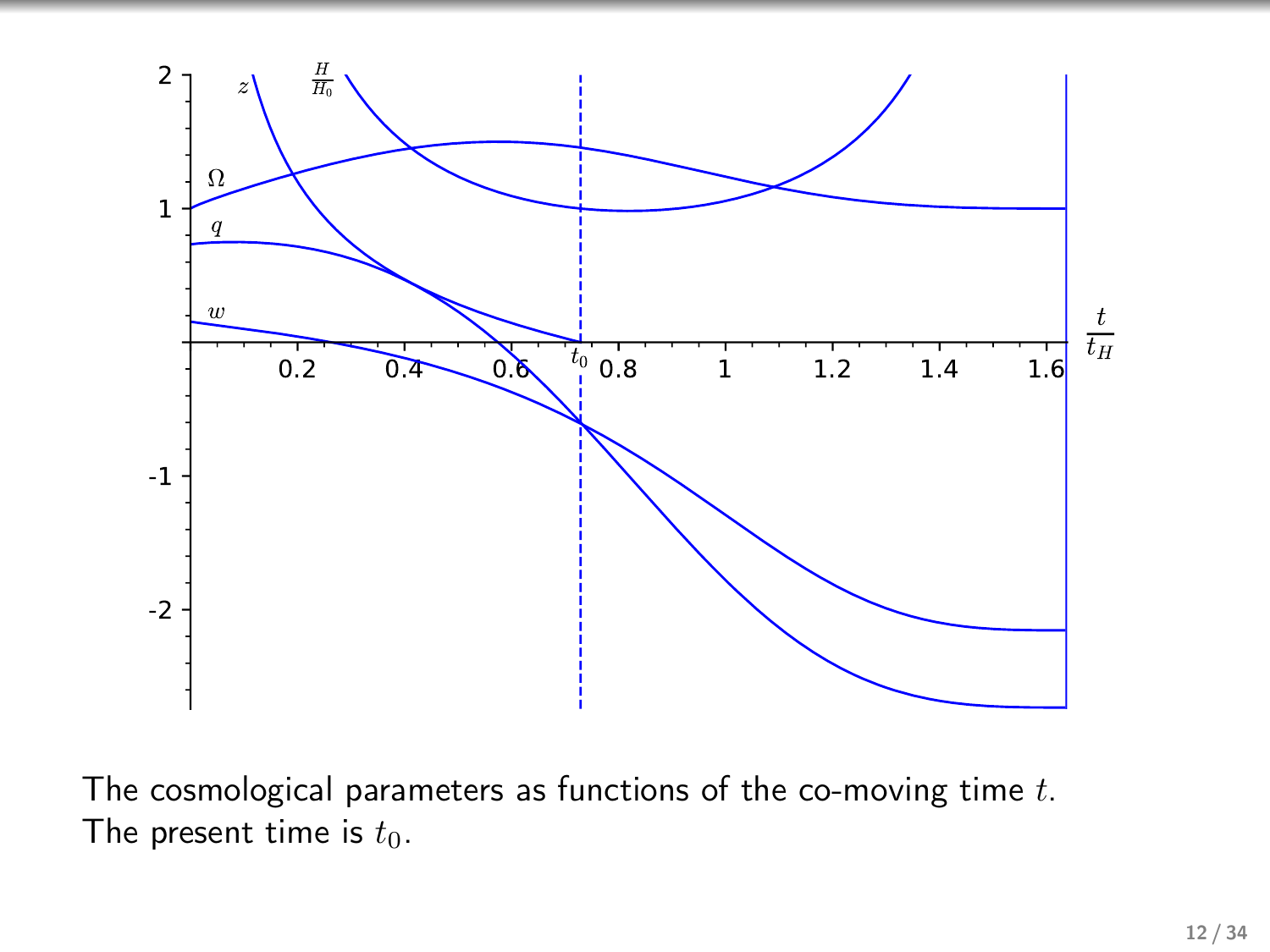

The cosmological parameters as functions of the co-moving time  $t$ . The present time is  $t_0$ .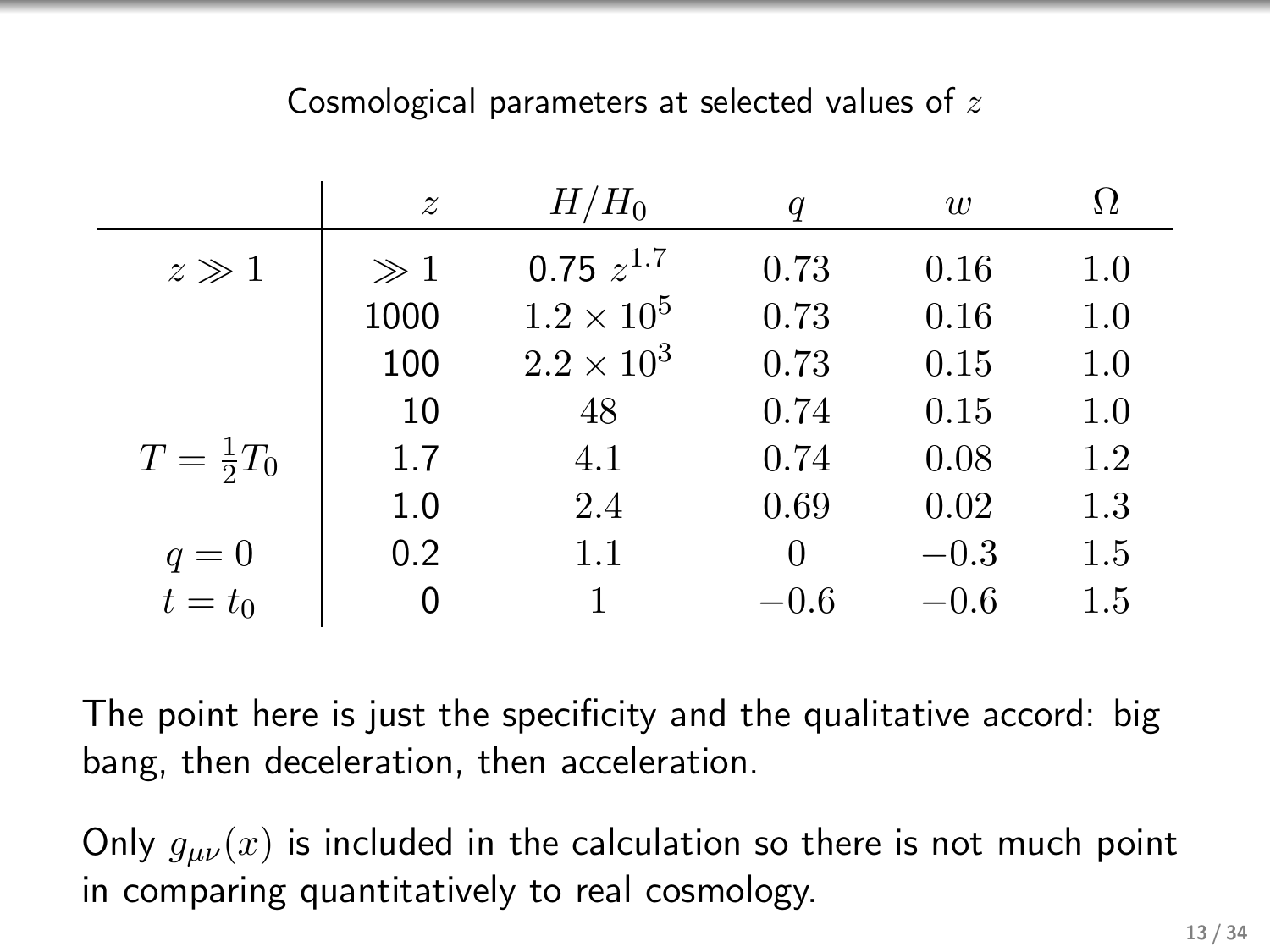## Cosmological parameters at selected values of z

|                      | $\boldsymbol{z}$ | $H/H_0$             | $\boldsymbol{q}$ | w      | Ω   |
|----------------------|------------------|---------------------|------------------|--------|-----|
| $z\gg 1$             | $\gg 1$          | $0.75 z^{1.7}$      | 0.73             | 0.16   | 1.0 |
|                      | 1000             | $1.2 \times 10^{5}$ | 0.73             | 0.16   | 1.0 |
|                      | 100              | $2.2 \times 10^{3}$ | 0.73             | 0.15   | 1.0 |
|                      | 10               | 48                  | 0.74             | 0.15   | 1.0 |
| $T = \frac{1}{2}T_0$ | 1.7              | 4.1                 | 0.74             | 0.08   | 1.2 |
|                      | 1.0              | 2.4                 | 0.69             | 0.02   | 1.3 |
| $q=0$                | 0.2              | 1.1                 | $\Omega$         | $-0.3$ | 1.5 |
| $\bar{t}=t_0$        | 0                |                     | $-0.6$           | $-0.6$ | 1.5 |

The point here is just the specificity and the qualitative accord: big bang, then deceleration, then acceleration.

Only  $g_{\mu\nu}(x)$  is included in the calculation so there is not much point in comparing quantitatively to real cosmology.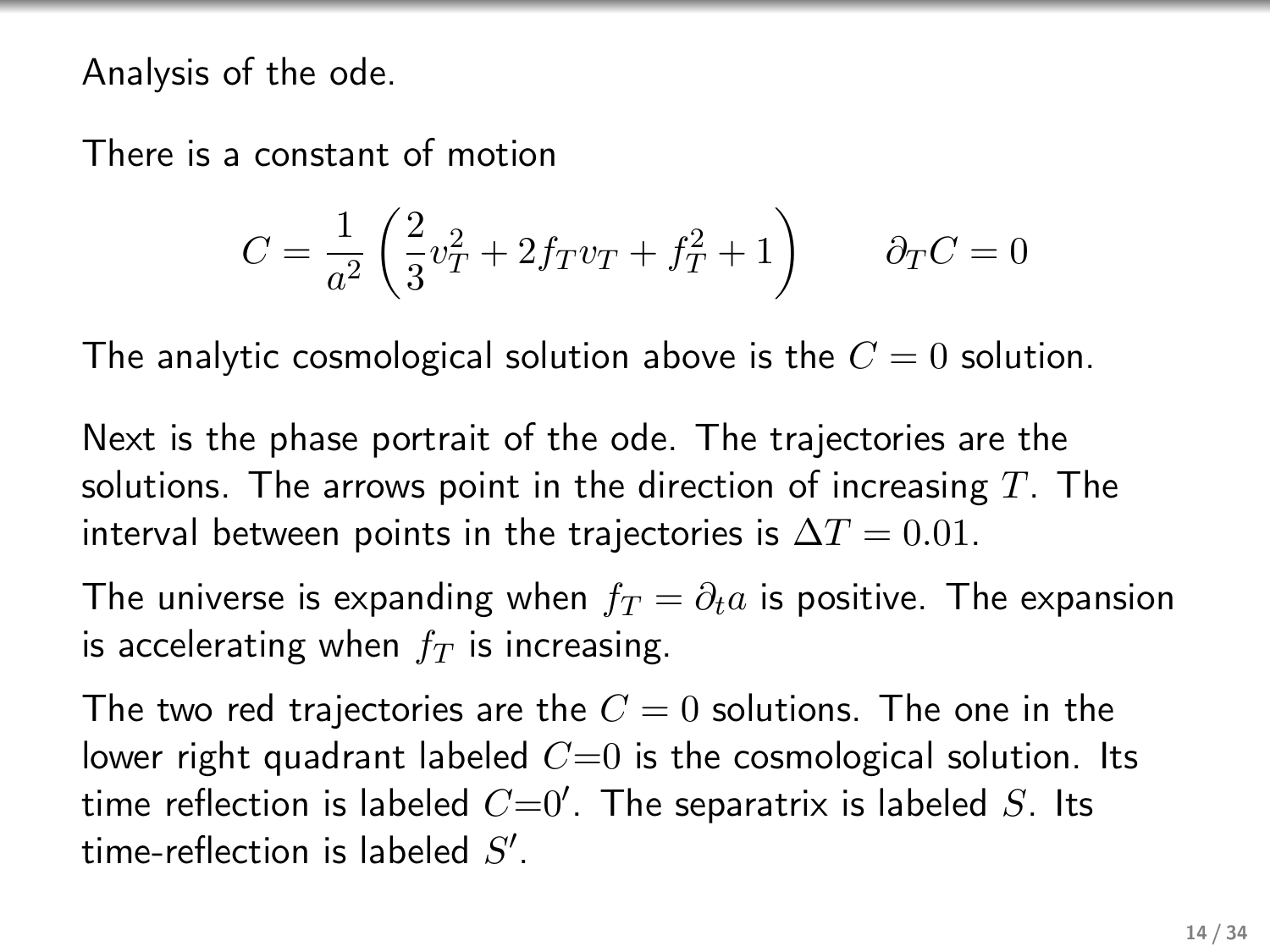Analysis of the ode.

There is a constant of motion

$$
C = \frac{1}{a^2} \left( \frac{2}{3} v_T^2 + 2 f_T v_T + f_T^2 + 1 \right) \qquad \partial_T C = 0
$$

The analytic cosmological solution above is the  $C = 0$  solution.

Next is the phase portrait of the ode. The trajectories are the solutions. The arrows point in the direction of increasing  $T$ . The interval between points in the trajectories is  $\Delta T = 0.01$ .

The universe is expanding when  $f_T = \partial_t a$  is positive. The expansion is accelerating when  $f<sub>T</sub>$  is increasing.

The two red trajectories are the  $C = 0$  solutions. The one in the lower right quadrant labeled  $C=0$  is the cosmological solution. Its time reflection is labeled  $C=0'$ . The separatrix is labeled  $S$ . Its time-reflection is labeled  $S'$ .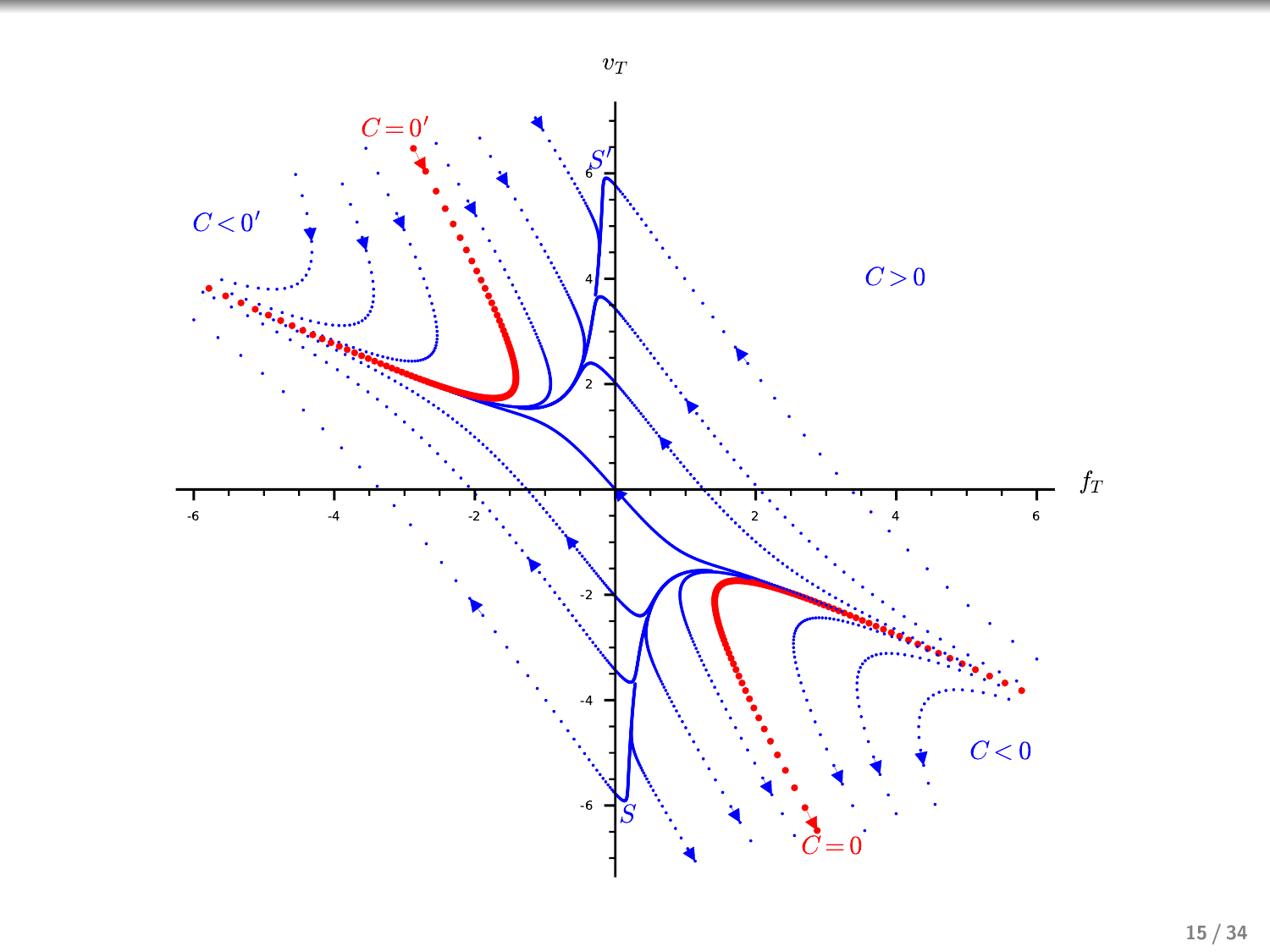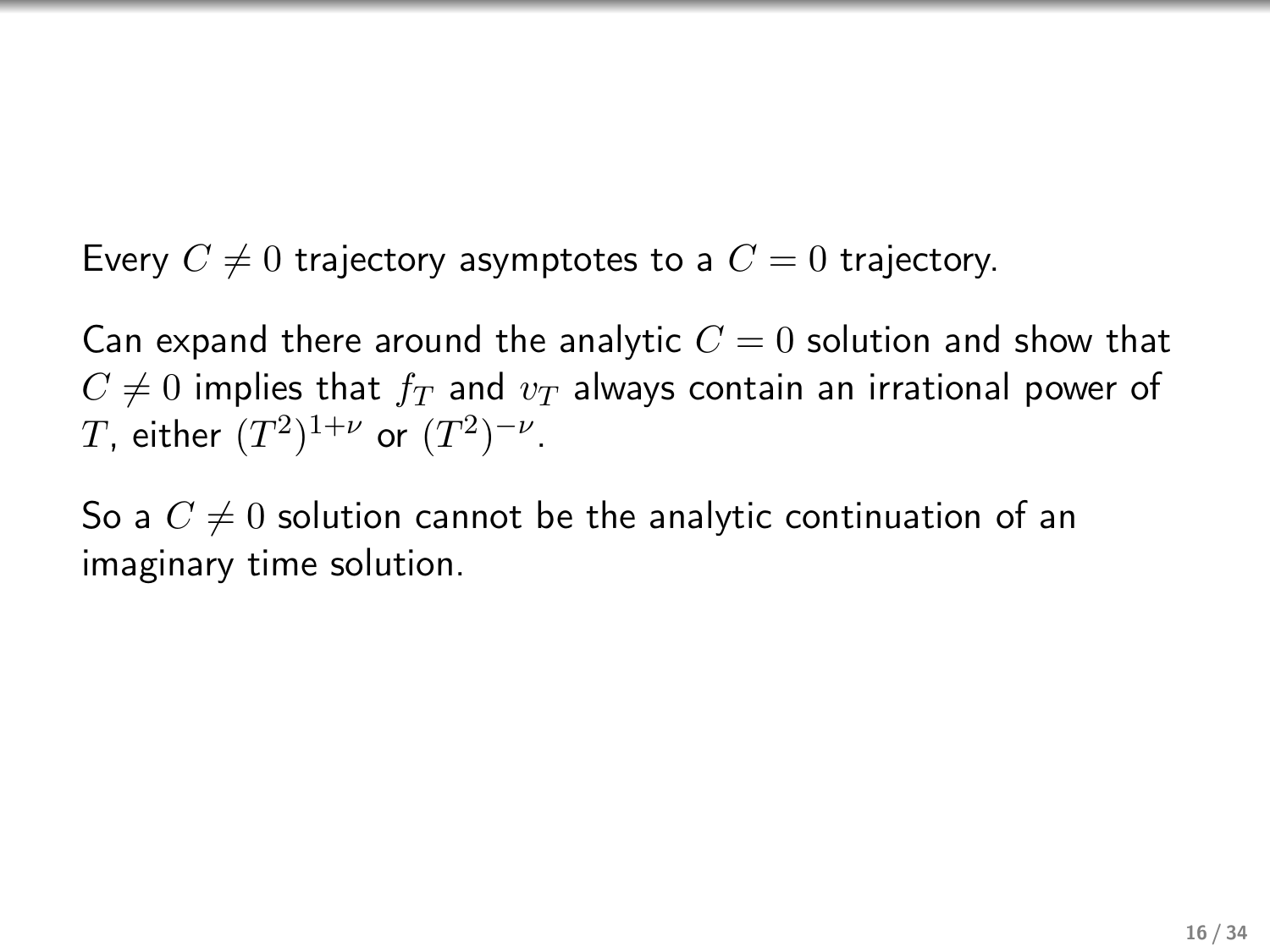Every  $C \neq 0$  trajectory asymptotes to a  $C = 0$  trajectory.

Can expand there around the analytic  $C = 0$  solution and show that  $C \neq 0$  implies that  $f_T$  and  $v_T$  always contain an irrational power of T, either  $(T^2)^{1+\nu}$  or  $(T^2)^{-\nu}$ .

So a  $C \neq 0$  solution cannot be the analytic continuation of an imaginary time solution.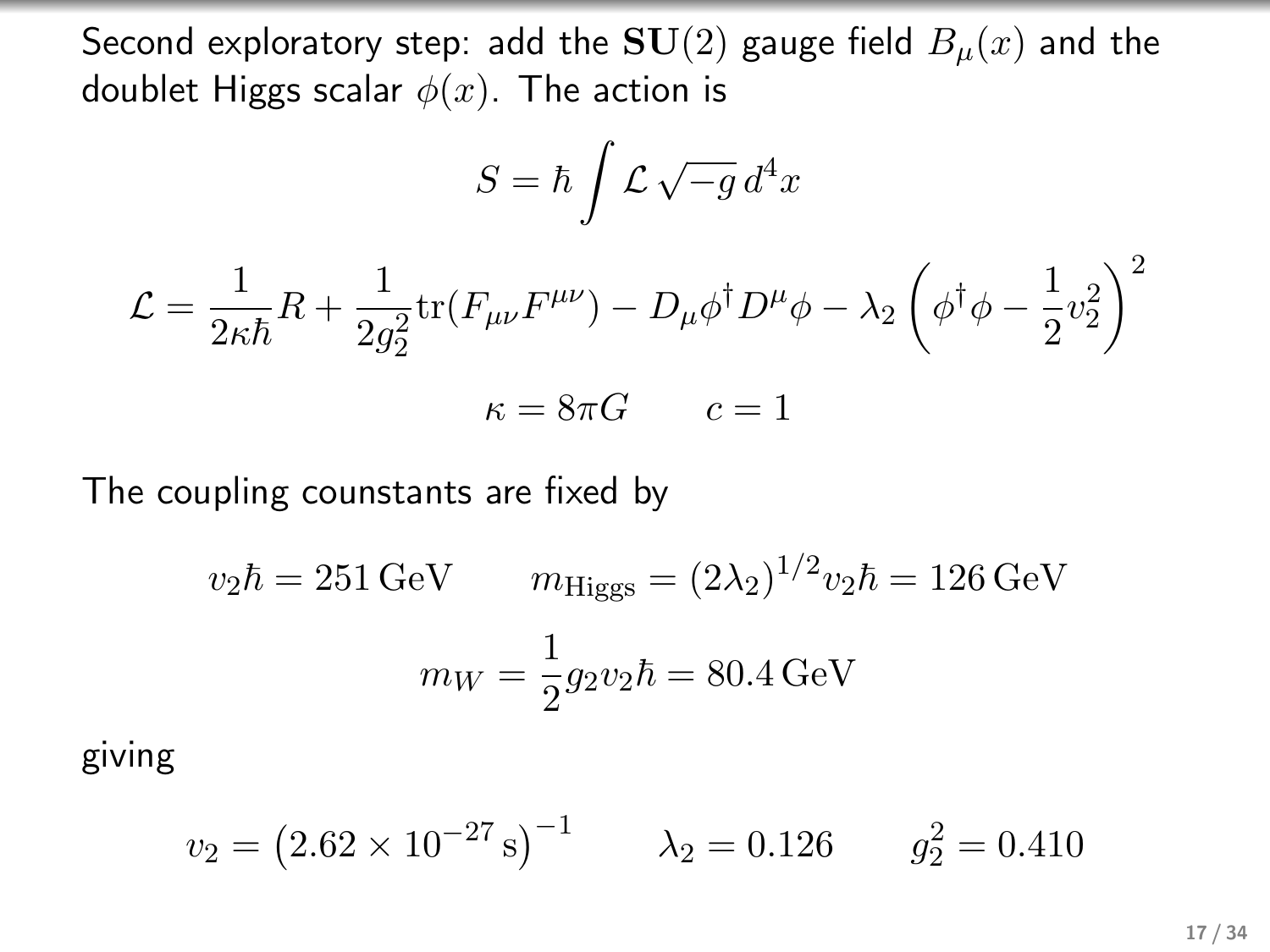Second exploratory step: add the  $SU(2)$  gauge field  $B_u(x)$  and the doublet Higgs scalar  $\phi(x)$ . The action is

$$
S = \hbar \int \mathcal{L} \sqrt{-g} \, d^4x
$$

$$
\mathcal{L} = \frac{1}{2\kappa\hbar}R + \frac{1}{2g_2^2}\text{tr}(F_{\mu\nu}F^{\mu\nu}) - D_{\mu}\phi^{\dagger}D^{\mu}\phi - \lambda_2\left(\phi^{\dagger}\phi - \frac{1}{2}v_2^2\right)^2
$$

$$
\kappa = 8\pi G \qquad c = 1
$$

The coupling counstants are fixed by

$$
v_2 \hbar = 251 \text{ GeV}
$$
  $m_{\text{Higgs}} = (2\lambda_2)^{1/2} v_2 \hbar = 126 \text{ GeV}$   

$$
m_W = \frac{1}{2} g_2 v_2 \hbar = 80.4 \text{ GeV}
$$

giving

$$
v_2 = (2.62 \times 10^{-27} \text{ s})^{-1}
$$
  $\lambda_2 = 0.126$   $g_2^2 = 0.410$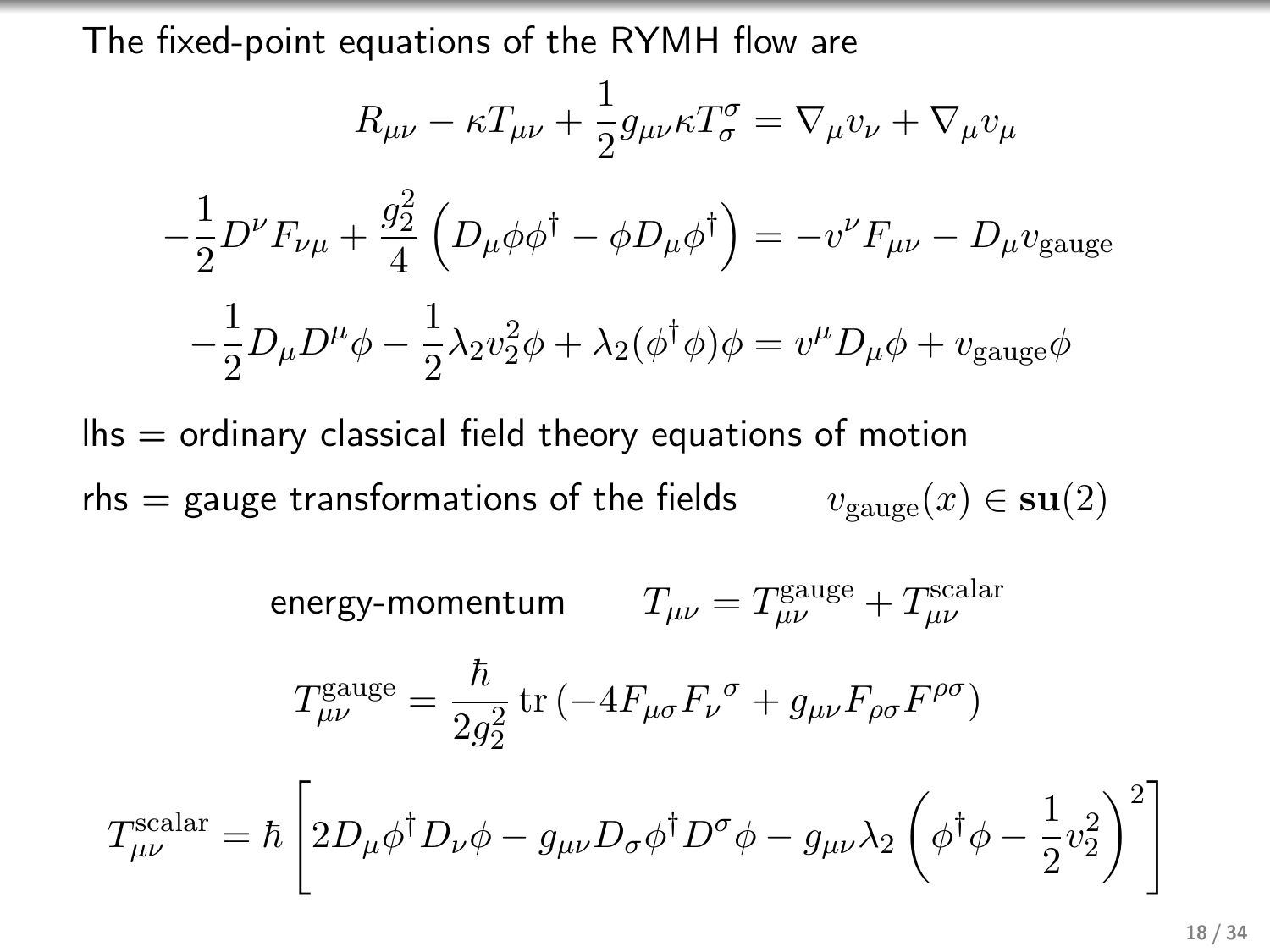The fixed-point equations of the RYMH flow are

$$
R_{\mu\nu} - \kappa T_{\mu\nu} + \frac{1}{2} g_{\mu\nu} \kappa T_{\sigma}^{\sigma} = \nabla_{\mu} v_{\nu} + \nabla_{\mu} v_{\mu}
$$

$$
-\frac{1}{2} D^{\nu} F_{\nu\mu} + \frac{g_2^2}{4} \left( D_{\mu} \phi \phi^{\dagger} - \phi D_{\mu} \phi^{\dagger} \right) = -v^{\nu} F_{\mu\nu} - D_{\mu} v_{\text{gauge}}
$$

$$
-\frac{1}{2} D_{\mu} D^{\mu} \phi - \frac{1}{2} \lambda_2 v_2^2 \phi + \lambda_2 (\phi^{\dagger} \phi) \phi = v^{\mu} D_{\mu} \phi + v_{\text{gauge}} \phi
$$

 $\ln s$  = ordinary classical field theory equations of motion rhs = gauge transformations of the fields  $v_{\text{gauge}}(x) \in \text{su}(2)$ 

energy-momentum 
$$
T_{\mu\nu} = T_{\mu\nu}^{\text{gauge}} + T_{\mu\nu}^{\text{scalar}}
$$

$$
T_{\mu\nu}^{\text{gauge}} = \frac{\hbar}{2g_2^2} \text{tr} \left( -4F_{\mu\sigma}F_{\nu}{}^{\sigma} + g_{\mu\nu}F_{\rho\sigma}F^{\rho\sigma} \right)
$$

$$
T_{\mu\nu}^{\text{scalar}} = \hbar \left[ 2D_{\mu}\phi^{\dagger}D_{\nu}\phi - g_{\mu\nu}D_{\sigma}\phi^{\dagger}D^{\sigma}\phi - g_{\mu\nu}\lambda_2 \left( \phi^{\dagger}\phi - \frac{1}{2}v_2^2 \right)^2 \right]
$$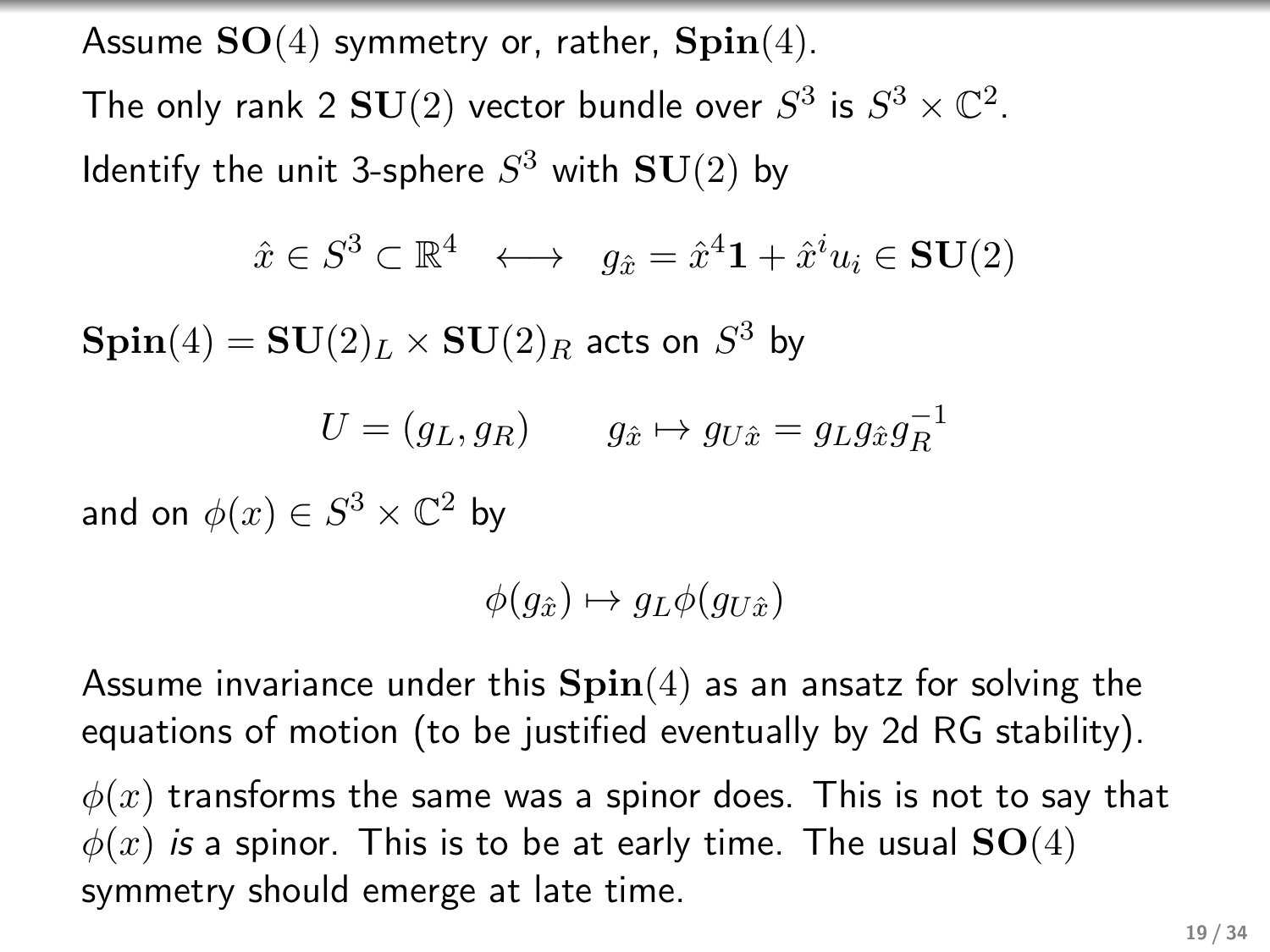Assume  $SO(4)$  symmetry or, rather,  $Spin(4)$ .

The only rank 2  ${\bf SU}(2)$  vector bundle over  $S^3$  is  $S^3 \times {\mathbb C}^2.$ Identify the unit 3-sphere  $S^3$  with  ${\bf SU}(2)$  by

$$
\hat{x} \in S^3 \subset \mathbb{R}^4 \iff g_{\hat{x}} = \hat{x}^4 \mathbf{1} + \hat{x}^i u_i \in \mathbf{SU}(2)
$$

 $\mathbf{Spin}(4)=\mathbf{SU}(2)_L\times \mathbf{SU}(2)_R$  acts on  $S^3$  by

$$
U = (g_L, g_R) \qquad g_{\hat{x}} \mapsto g_{U\hat{x}} = g_L g_{\hat{x}} g_R^{-1}
$$

and on  $\phi(x) \in S^3 \times \mathbb{C}^2$  by

$$
\phi(g_{\hat{x}}) \mapsto g_L \phi(g_{U\hat{x}})
$$

Assume invariance under this  $\text{Spin}(4)$  as an ansatz for solving the equations of motion (to be justified eventually by 2d RG stability).

 $\phi(x)$  transforms the same was a spinor does. This is not to say that  $\phi(x)$  is a spinor. This is to be at early time. The usual  $SO(4)$ symmetry should emerge at late time.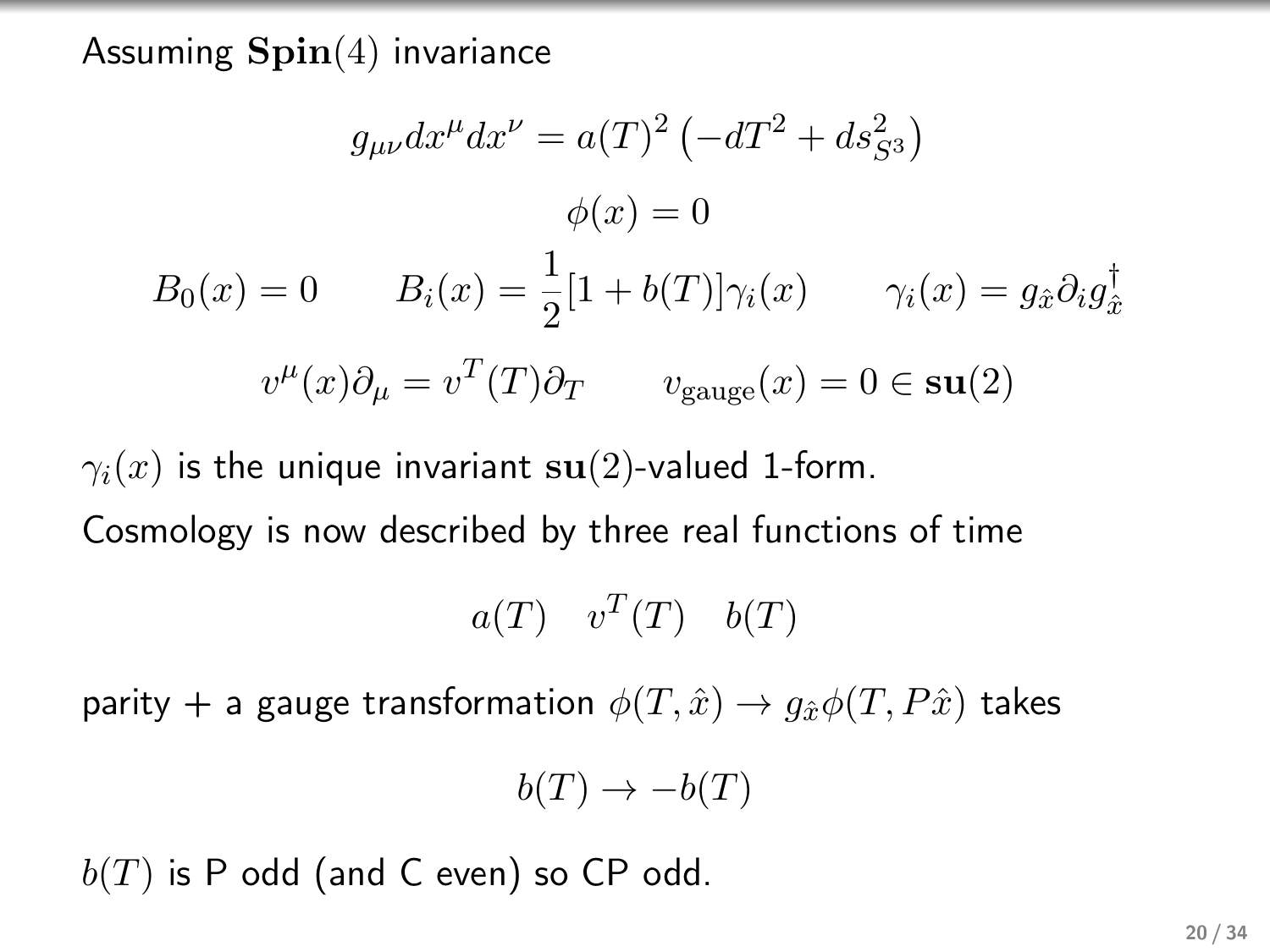## Assuming  $\text{Spin}(4)$  invariance

$$
g_{\mu\nu}dx^{\mu}dx^{\nu} = a(T)^{2} \left(-dT^{2} + ds_{S^{3}}^{2}\right)
$$

$$
\phi(x) = 0
$$

$$
B_{0}(x) = 0 \qquad B_{i}(x) = \frac{1}{2}[1 + b(T)]\gamma_{i}(x) \qquad \gamma_{i}(x) = g_{\hat{x}}\partial_{i}g_{\hat{x}}^{\dagger}
$$

$$
v^{\mu}(x)\partial_{\mu} = v^{T}(T)\partial_{T} \qquad v_{\text{gauge}}(x) = 0 \in \text{su}(2)
$$

 $\gamma_i(x)$  is the unique invariant su(2)-valued 1-form.

Cosmology is now described by three real functions of time

$$
a(T) \quad v^T(T) \quad b(T)
$$

parity + a gauge transformation  $\phi(T, \hat{x}) \rightarrow q_{\hat{x}} \phi(T, P\hat{x})$  takes

$$
b(T) \to -b(T)
$$

 $b(T)$  is P odd (and C even) so CP odd.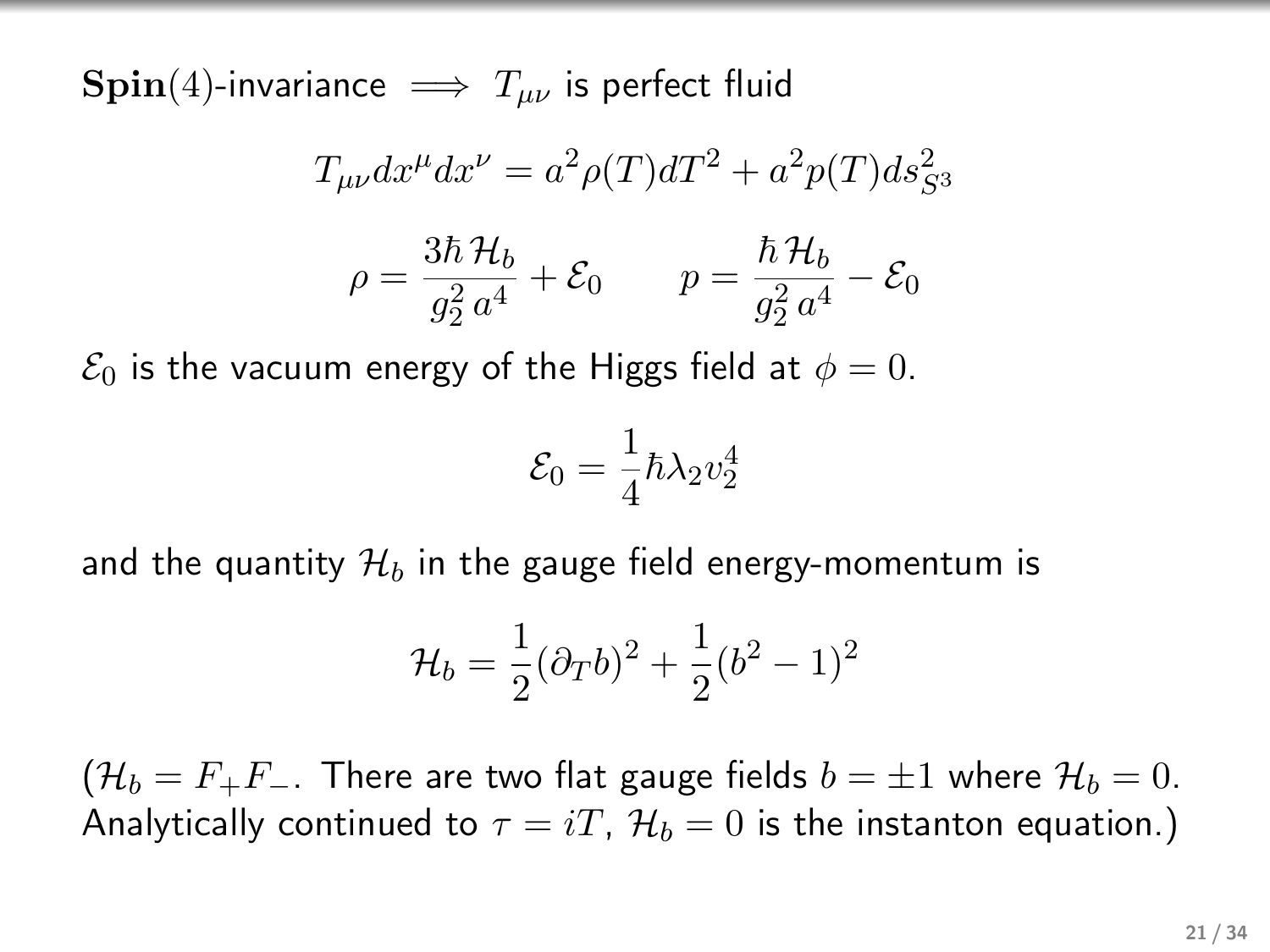$\text{Spin}(4)$ -invariance  $\implies T_{\mu\nu}$  is perfect fluid

$$
T_{\mu\nu}dx^{\mu}dx^{\nu} = a^2\rho(T)dT^2 + a^2p(T)ds_{S^3}^2
$$

$$
\rho = \frac{3\hbar \mathcal{H}_b}{g_2^2 a^4} + \mathcal{E}_0 \qquad p = \frac{\hbar \mathcal{H}_b}{g_2^2 a^4} - \mathcal{E}_0
$$

 $\mathcal{E}_0$  is the vacuum energy of the Higgs field at  $\phi = 0$ .

$$
\mathcal{E}_0 = \frac{1}{4}\hbar\lambda_2 v_2^4
$$

and the quantity  $\mathcal{H}_b$  in the gauge field energy-momentum is

$$
\mathcal{H}_b = \frac{1}{2} (\partial_T b)^2 + \frac{1}{2} (b^2 - 1)^2
$$

 $(\mathcal{H}_b = F_+F_-$ . There are two flat gauge fields  $b = \pm 1$  where  $\mathcal{H}_b = 0$ . Analytically continued to  $\tau = iT$ ,  $\mathcal{H}_b = 0$  is the instanton equation.)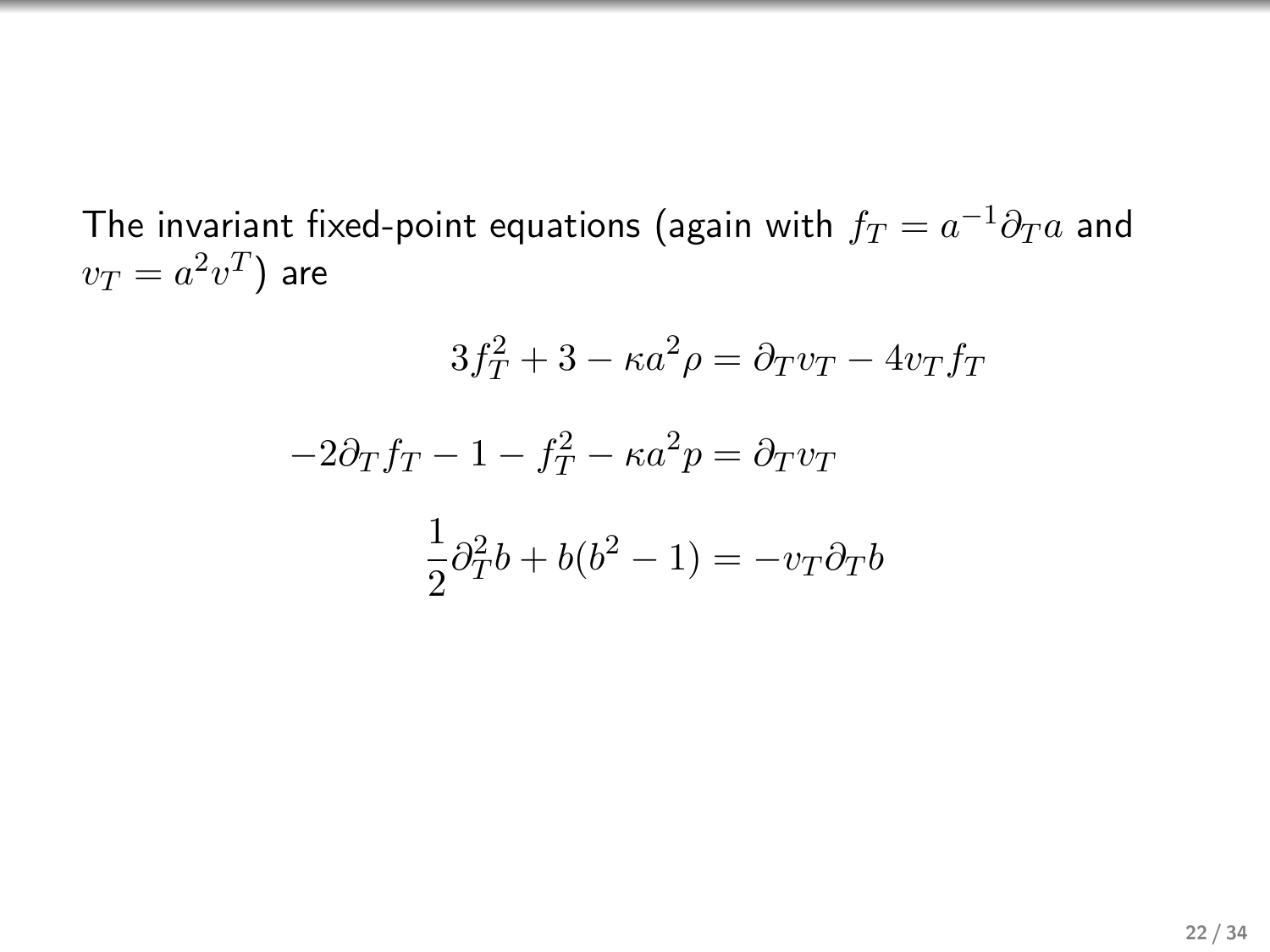The invariant fixed-point equations (again with  $f_T = a^{-1} \partial_T a$  and  $v_T = a^2 v^T$ ) are

$$
3f_T^2 + 3 - \kappa a^2 \rho = \partial_T v_T - 4v_T f_T
$$

$$
-2\partial_T f_T - 1 - f_T^2 - \kappa a^2 p = \partial_T v_T
$$

$$
\frac{1}{2}\partial_T^2 b + b(b^2 - 1) = -v_T \partial_T b
$$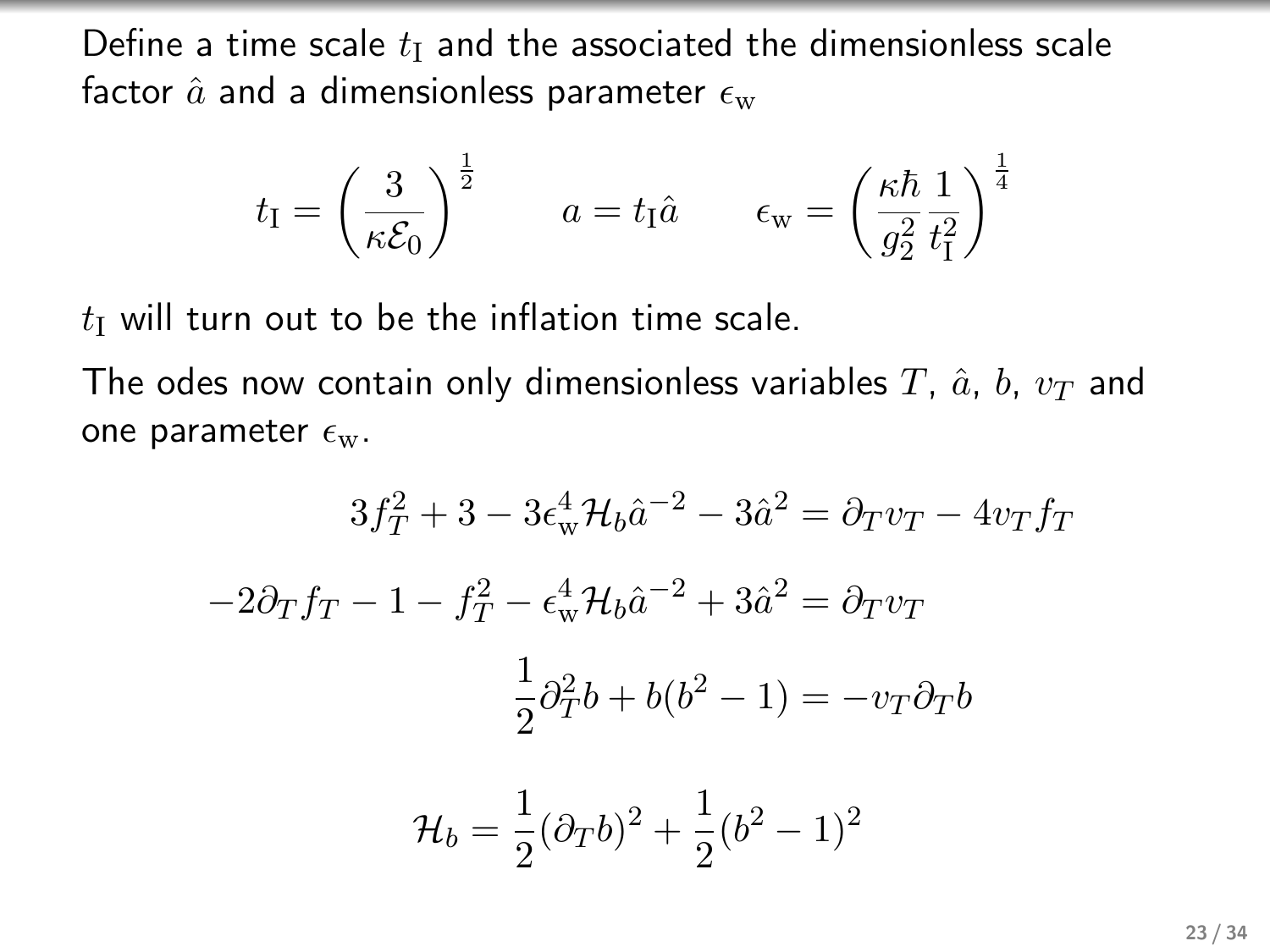Define a time scale  $t<sub>I</sub>$  and the associated the dimensionless scale factor  $\hat{a}$  and a dimensionless parameter  $\epsilon_{\rm w}$ 

$$
t_{\rm I} = \left(\frac{3}{\kappa \mathcal{E}_0}\right)^{\frac{1}{2}}
$$
  $a = t_{\rm I} \hat{a}$   $\epsilon_{\rm w} = \left(\frac{\kappa \hbar}{g_2^2} \frac{1}{t_{\rm I}^2}\right)^{\frac{1}{4}}$ 

 $t<sub>I</sub>$  will turn out to be the inflation time scale.

The odes now contain only dimensionless variables T,  $\hat{a}$ , b,  $v_T$  and one parameter  $\epsilon_{\rm w}$ .

$$
3f_T^2 + 3 - 3\epsilon_w^4 \mathcal{H}_b \hat{a}^{-2} - 3\hat{a}^2 = \partial_T v_T - 4v_T f_T
$$

$$
-2\partial_T f_T - 1 - f_T^2 - \epsilon_w^4 \mathcal{H}_b \hat{a}^{-2} + 3\hat{a}^2 = \partial_T v_T
$$

$$
\frac{1}{2}\partial_T^2 b + b(b^2 - 1) = -v_T \partial_T b
$$

$$
\mathcal{H}_b = \frac{1}{2}(\partial_T b)^2 + \frac{1}{2}(b^2 - 1)^2
$$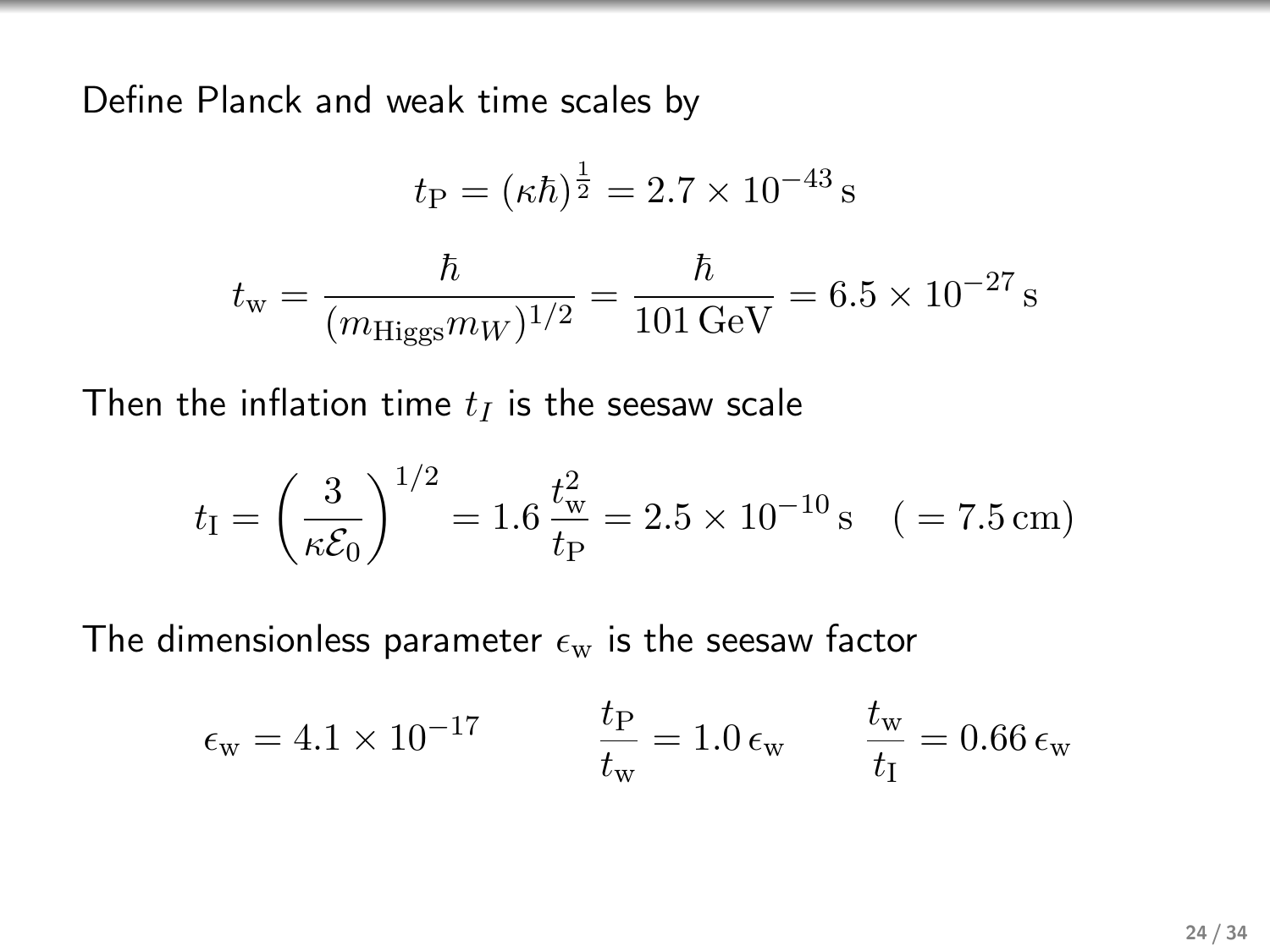Define Planck and weak time scales by

$$
t_{\rm P} = (\kappa \hbar)^{\frac{1}{2}} = 2.7 \times 10^{-43} \,\mathrm{s}
$$

$$
t_{\rm w} = \frac{\hbar}{(m_{\rm Higgs} m_W)^{1/2}} = \frac{\hbar}{101 \,\mathrm{GeV}} = 6.5 \times 10^{-27} \,\mathrm{s}
$$

Then the inflation time  $t_I$  is the seesaw scale

$$
t_{\rm I} = \left(\frac{3}{\kappa \mathcal{E}_0}\right)^{1/2} = 1.6 \frac{t_{\rm w}^2}{t_{\rm P}} = 2.5 \times 10^{-10} \,\mathrm{s} \quad (= 7.5 \,\mathrm{cm})
$$

The dimensionless parameter  $\epsilon_{\rm w}$  is the seesaw factor

$$
\epsilon_{\rm w} = 4.1 \times 10^{-17} \qquad \qquad \frac{t_{\rm P}}{t_{\rm w}} = 1.0 \, \epsilon_{\rm w} \qquad \frac{t_{\rm w}}{t_{\rm I}} = 0.66 \, \epsilon_{\rm w}
$$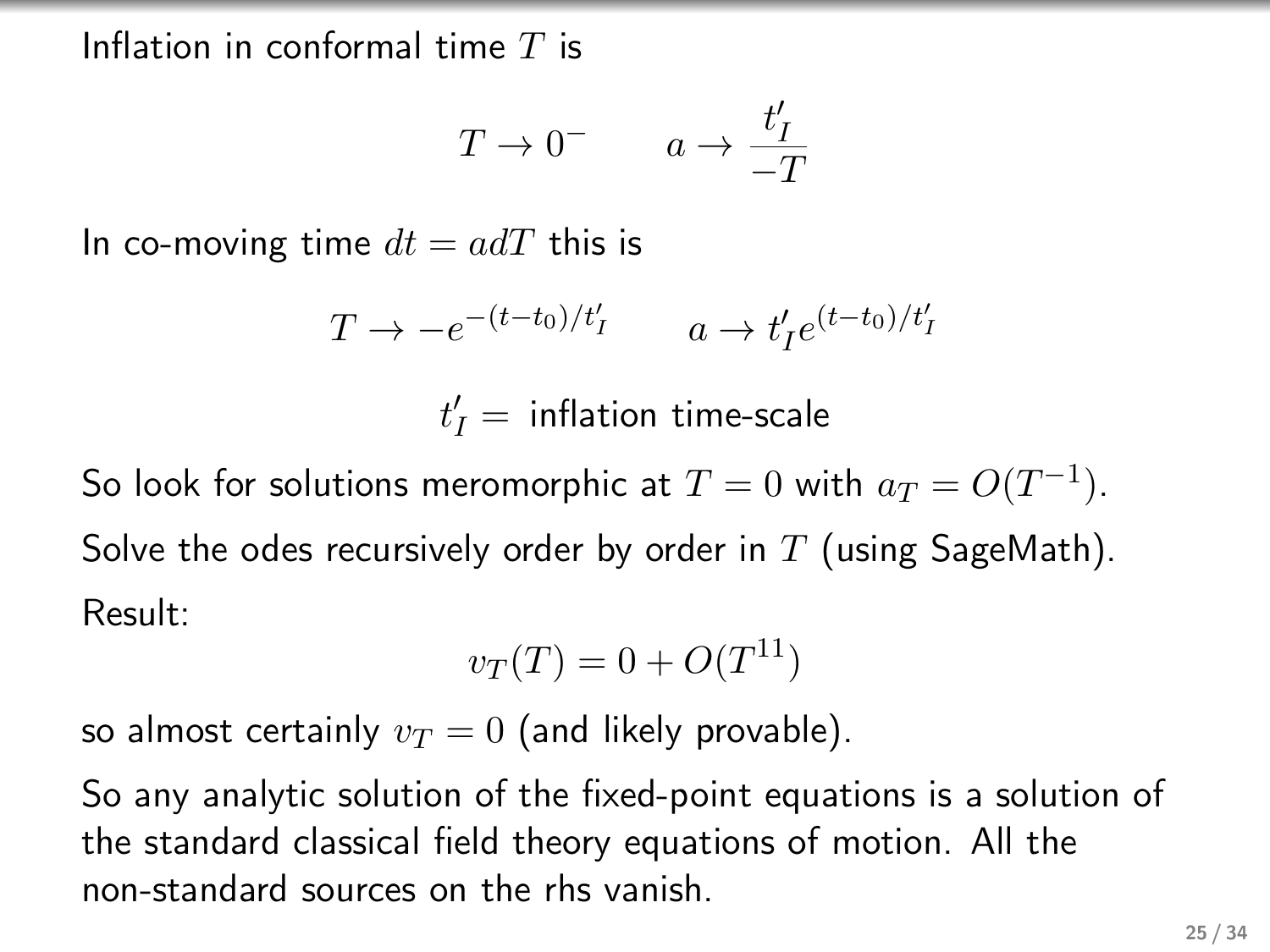Inflation in conformal time  $T$  is

$$
T \to 0^- \qquad a \to \frac{t'_I}{-T}
$$

In co-moving time  $dt = adT$  this is

$$
T \to -e^{-(t-t_0)/t'_I} \qquad a \to t'_I e^{(t-t_0)/t'_I}
$$

 $t_I' = \text{ inflation time-scale}$ 

So look for solutions meromorphic at  $T=0$  with  $a_T=O(T^{-1})$ . Solve the odes recursively order by order in  $T$  (using SageMath). Result:

$$
v_T(T) = 0 + O(T^{11})
$$

so almost certainly  $v_T = 0$  (and likely provable).

So any analytic solution of the fixed-point equations is a solution of the standard classical field theory equations of motion. All the non-standard sources on the rhs vanish.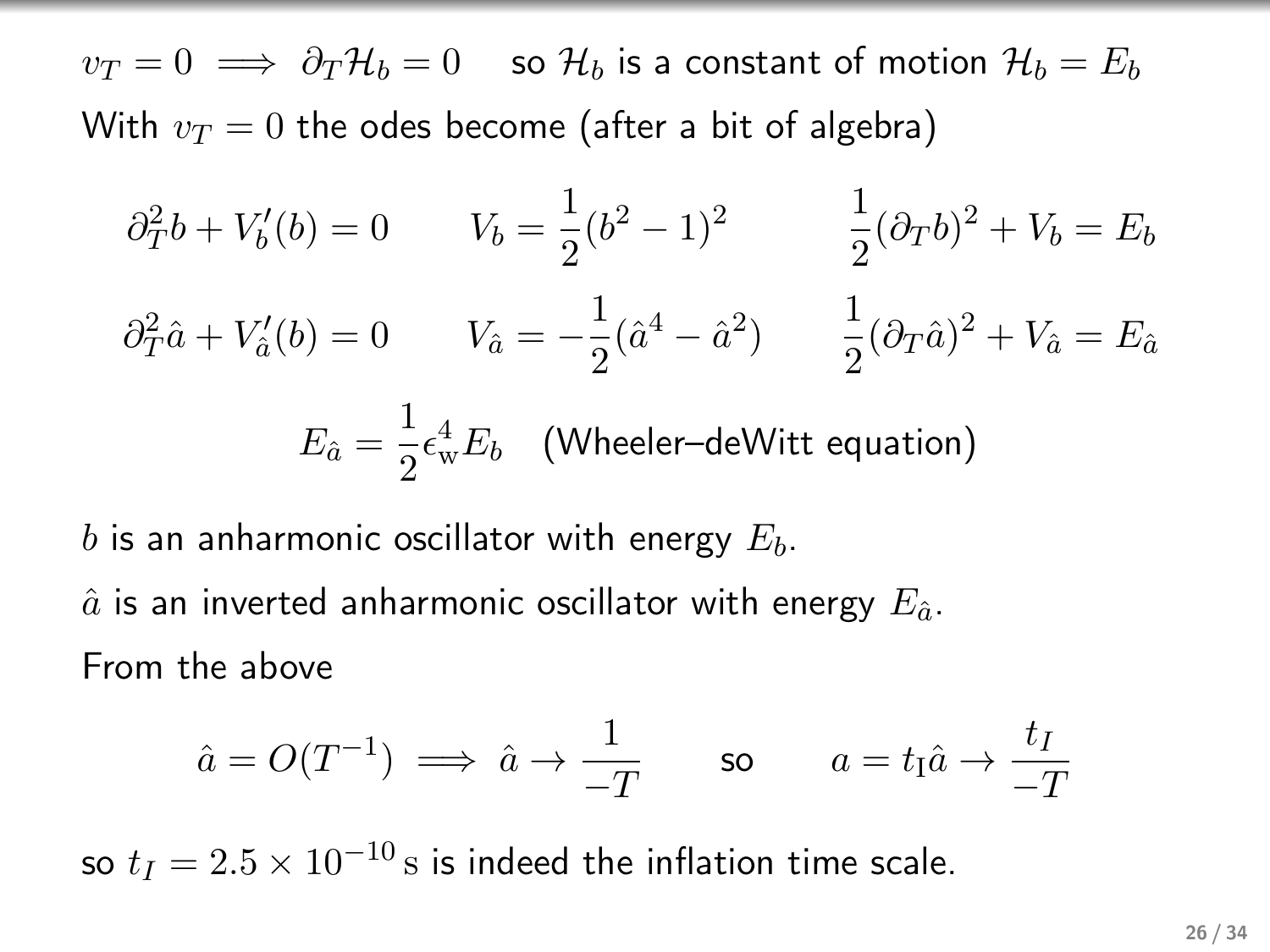$v_T = 0 \implies \partial_T \mathcal{H}_b = 0$  so  $\mathcal{H}_b$  is a constant of motion  $\mathcal{H}_b = E_b$ With  $v_T = 0$  the odes become (after a bit of algebra)

$$
\partial_T^2 b + V_b'(b) = 0 \qquad V_b = \frac{1}{2}(b^2 - 1)^2 \qquad \frac{1}{2}(\partial_T b)^2 + V_b = E_b
$$

$$
\partial_T^2 \hat{a} + V_a'(b) = 0 \qquad V_{\hat{a}} = -\frac{1}{2}(\hat{a}^4 - \hat{a}^2) \qquad \frac{1}{2}(\partial_T \hat{a})^2 + V_{\hat{a}} = E_{\hat{a}}
$$

$$
E_{\hat{a}} = \frac{1}{2} \epsilon_w^4 E_b \quad \text{(Wheeler-deWitt equation)}
$$

b is an anharmonic oscillator with energy  $E_b$ .  $\hat{a}$  is an inverted anharmonic oscillator with energy  $E_{\hat{a}}$ . From the above

$$
\hat{a} = O(T^{-1}) \implies \hat{a} \to \frac{1}{-T}
$$
 so  $a = t_1 \hat{a} \to \frac{t_I}{-T}$ 

so  $t_I = 2.5 \times 10^{-10}$  s is indeed the inflation time scale.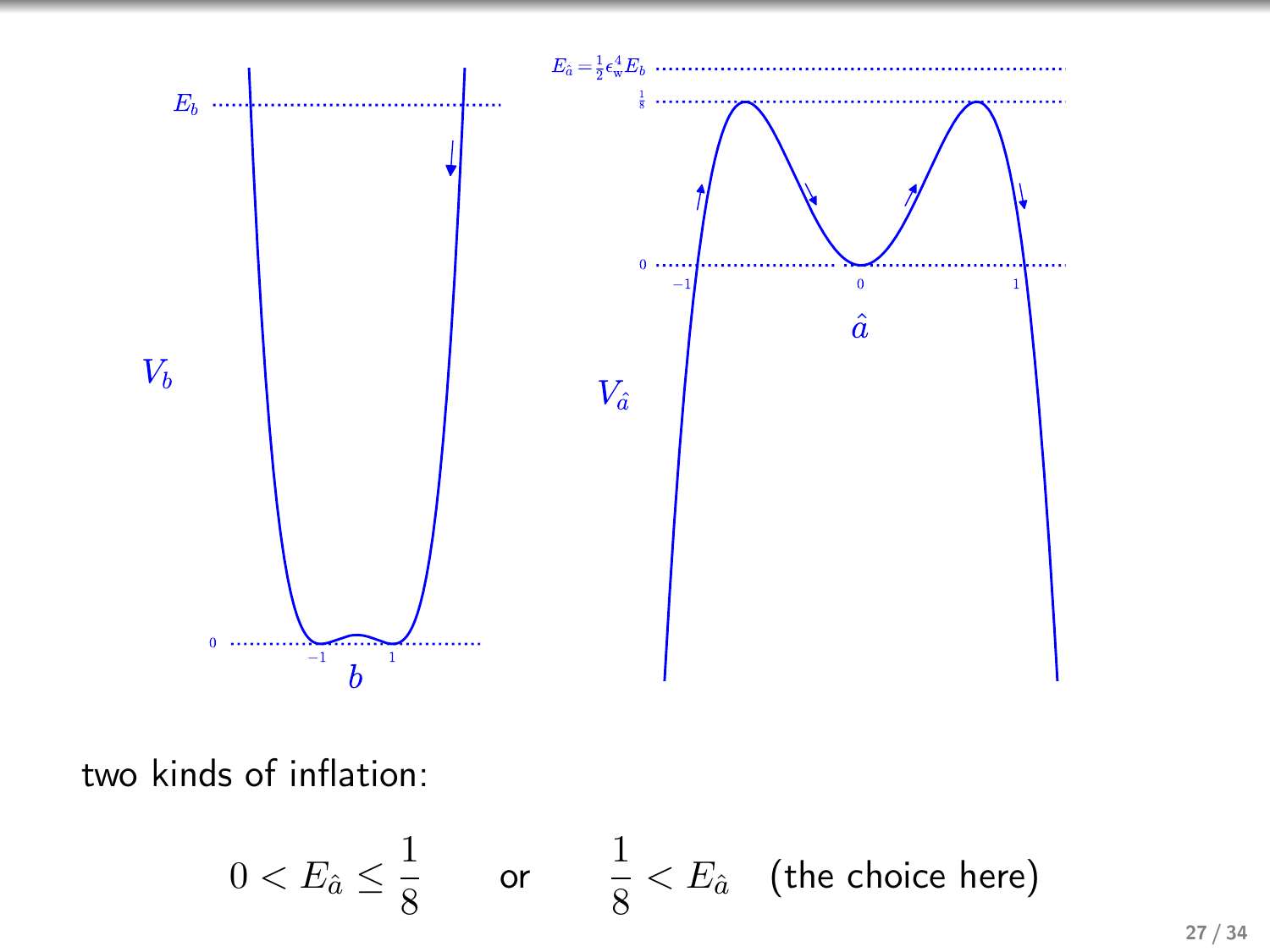

two kinds of inflation:

$$
0 < E_{\hat{a}} \le \frac{1}{8} \qquad \text{or} \qquad \frac{1}{8} < E_{\hat{a}} \quad \text{(the choice here)}
$$

27 / 34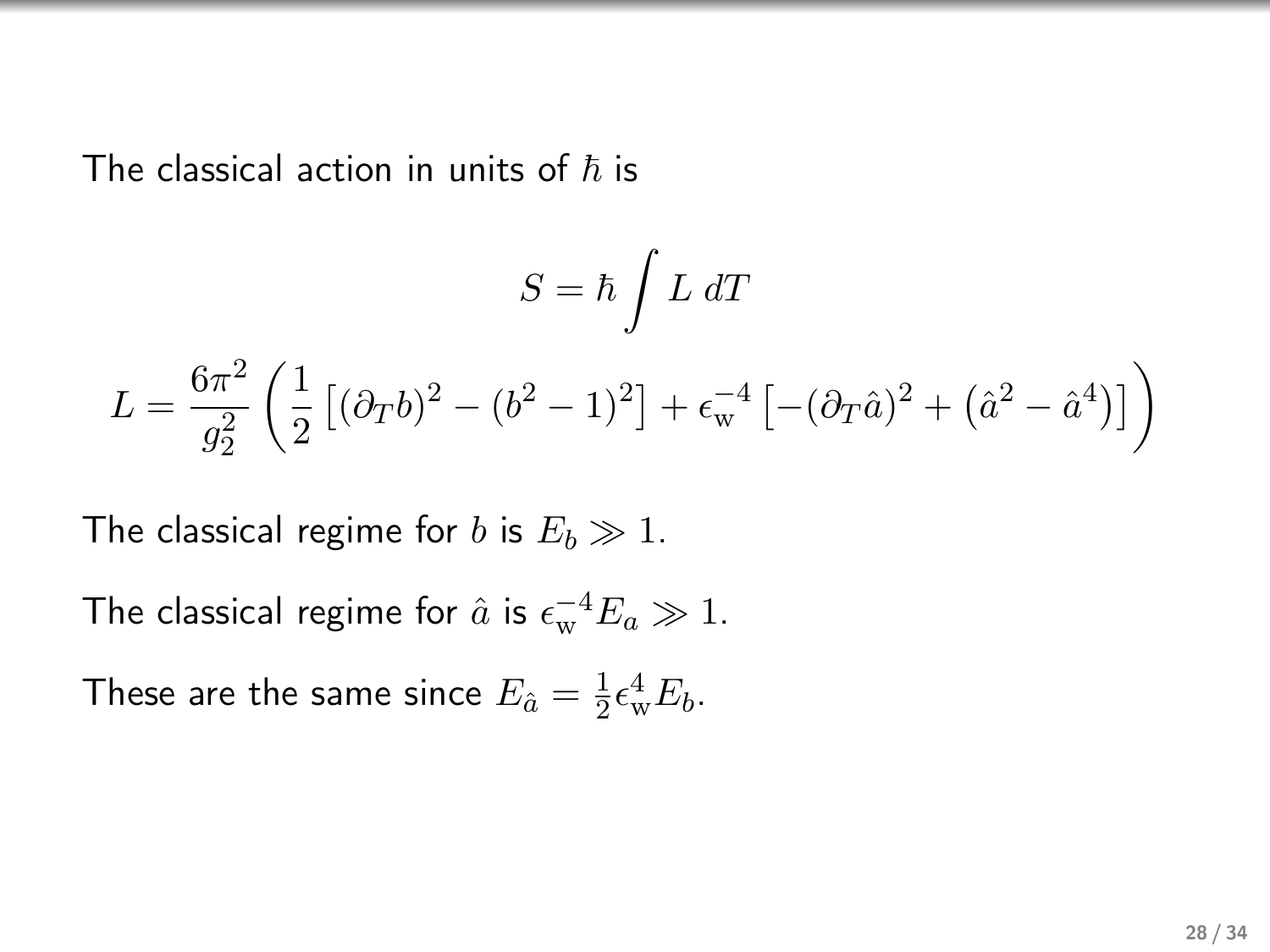The classical action in units of  $\hbar$  is

$$
S = \hbar \int L \, dT
$$
  

$$
L = \frac{6\pi^2}{g_2^2} \left( \frac{1}{2} \left[ (\partial_T b)^2 - (b^2 - 1)^2 \right] + \epsilon_{\rm w}^{-4} \left[ -(\partial_T \hat{a})^2 + (\hat{a}^2 - \hat{a}^4) \right] \right)
$$

The classical regime for b is  $E_b \gg 1$ .

The classical regime for  $\hat{a}$  is  $\epsilon_{\rm w}^{-4}E_a \gg 1$ .

These are the same since  $E_{\hat a}=\frac{1}{2}$  $\frac{1}{2} \epsilon_{\rm w}^4 E_b$ .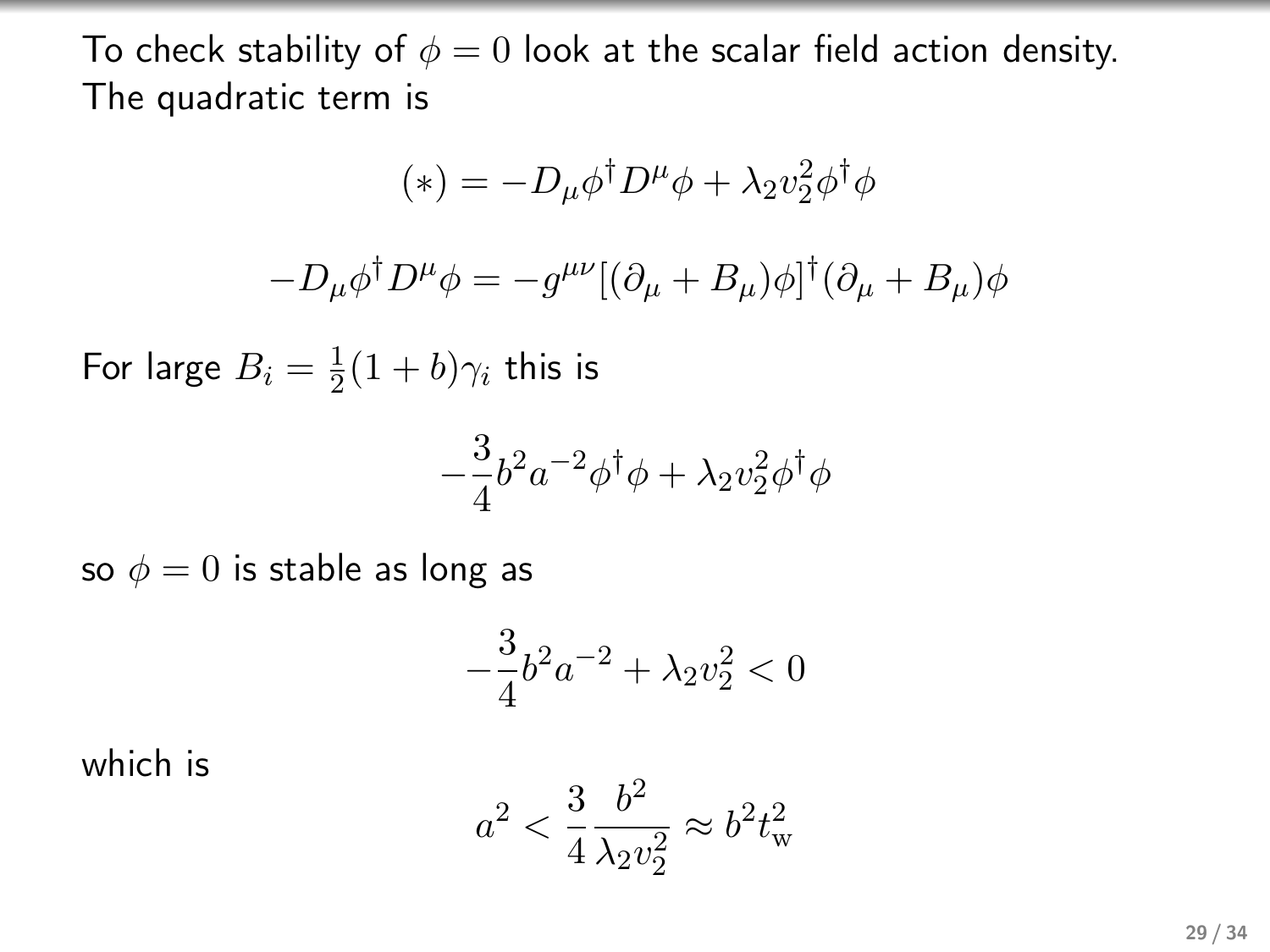To check stability of  $\phi = 0$  look at the scalar field action density. The quadratic term is

$$
(*) = -D_{\mu}\phi^{\dagger}D^{\mu}\phi + \lambda_2 v_2^2 \phi^{\dagger}\phi
$$

$$
-D_{\mu}\phi^{\dagger}D^{\mu}\phi = -g^{\mu\nu}[(\partial_{\mu} + B_{\mu})\phi]^{\dagger}(\partial_{\mu} + B_{\mu})\phi
$$

For large  $B_i=\frac{1}{2}$  $\frac{1}{2}(1+b)\gamma_i$  this is

$$
-\frac{3}{4}b^2a^{-2}\phi^{\dagger}\phi + \lambda_2 v_2^2\phi^{\dagger}\phi
$$

so  $\phi = 0$  is stable as long as

$$
-\frac{3}{4}b^2a^{-2} + \lambda_2 v_2^2 < 0
$$

which is

$$
a^2 < \frac{3}{4} \frac{b^2}{\lambda_2 v_2^2} \approx b^2 t_{\rm w}^2
$$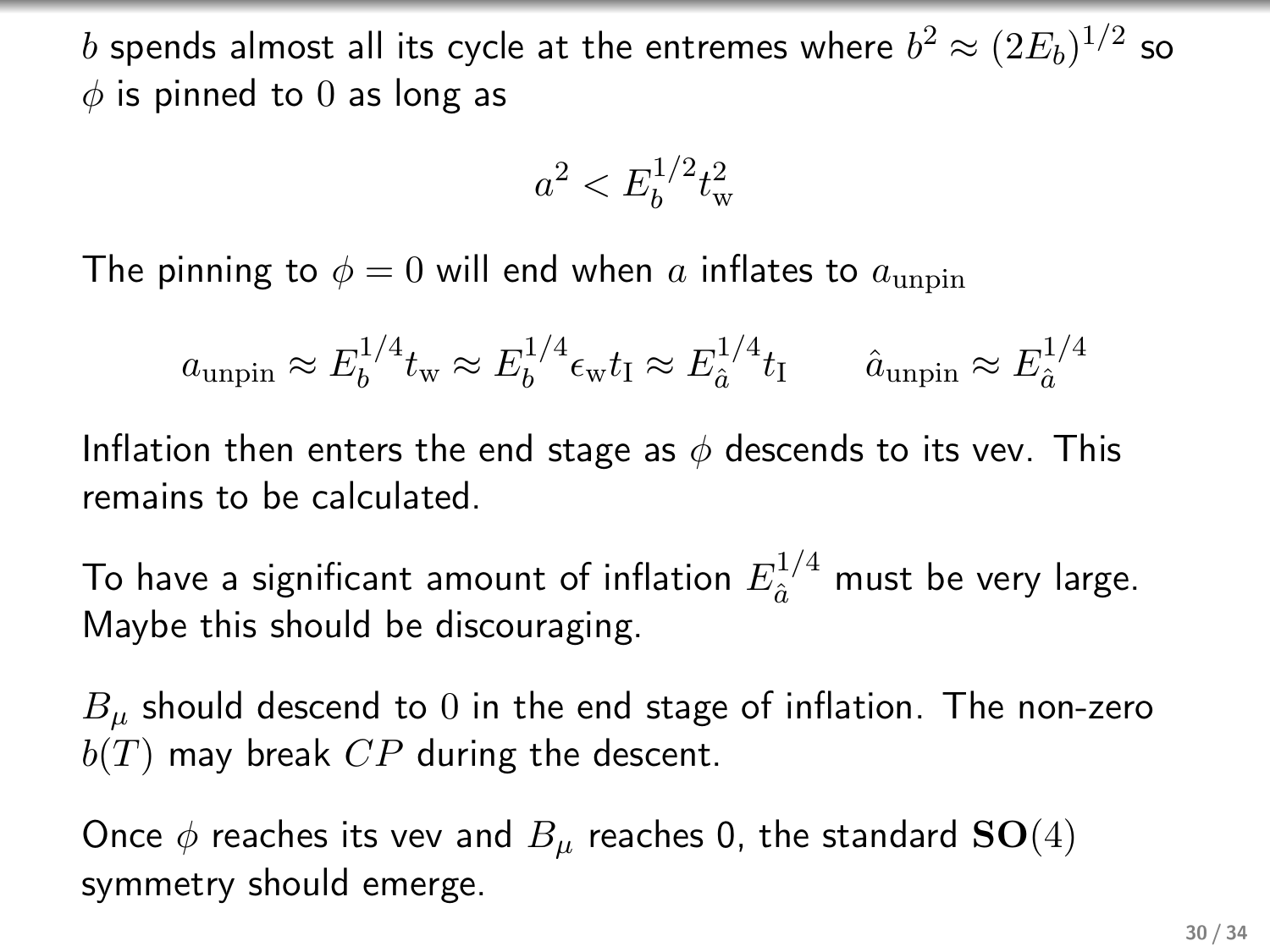$b$  spends almost all its cycle at the entremes where  $b^2\approx (2E_b)^{1/2}$  so  $\phi$  is pinned to 0 as long as

$$
a^2 < E_b^{1/2} t_{\rm w}^2
$$

The pinning to  $\phi = 0$  will end when a inflates to  $a_{\text{unpin}}$ 

$$
a_{\text{unpin}} \approx E_b^{1/4} t_{\text{w}} \approx E_b^{1/4} \epsilon_{\text{w}} t_{\text{I}} \approx E_a^{1/4} t_{\text{I}} \qquad \hat{a}_{\text{unpin}} \approx E_{\hat{a}}^{1/4}
$$

Inflation then enters the end stage as  $\phi$  descends to its vev. This remains to be calculated.

To have a significant amount of inflation  $E_{\hat a}^{1/4}$  must be very large. Maybe this should be discouraging.

 $B_{\mu}$  should descend to 0 in the end stage of inflation. The non-zero  $b(T)$  may break  $CP$  during the descent.

Once  $\phi$  reaches its vev and  $B_\mu$  reaches 0, the standard  $\mathbf{SO}(4)$ symmetry should emerge.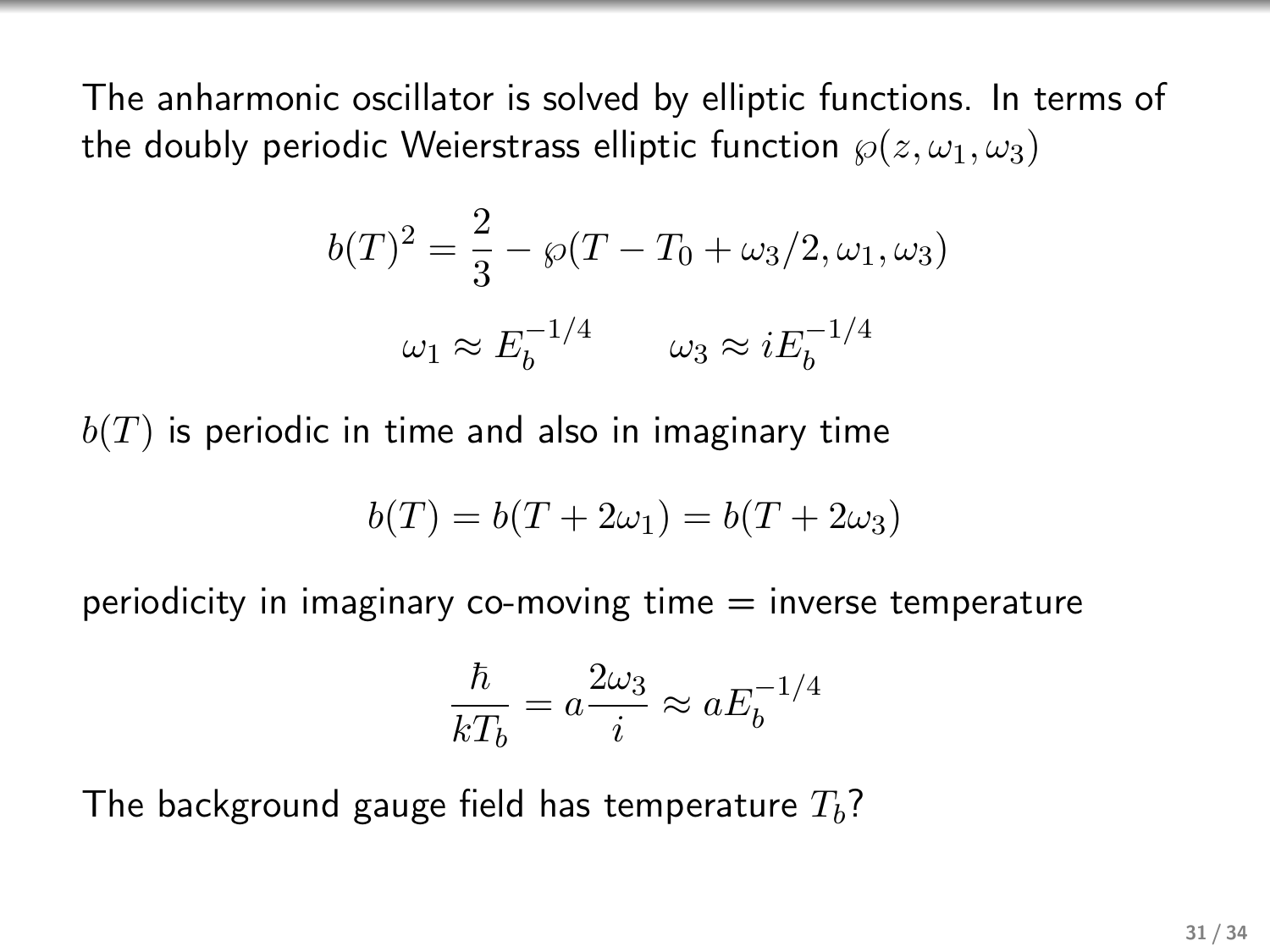The anharmonic oscillator is solved by elliptic functions. In terms of the doubly periodic Weierstrass elliptic function  $\wp(z, \omega_1, \omega_3)$ 

$$
b(T)^{2} = \frac{2}{3} - \wp(T - T_{0} + \omega_{3}/2, \omega_{1}, \omega_{3})
$$

$$
\omega_{1} \approx E_{b}^{-1/4} \qquad \omega_{3} \approx iE_{b}^{-1/4}
$$

 $b(T)$  is periodic in time and also in imaginary time

$$
b(T) = b(T + 2\omega_1) = b(T + 2\omega_3)
$$

periodicity in imaginary co-moving time  $=$  inverse temperature

$$
\frac{\hbar}{kT_b} = a \frac{2\omega_3}{i} \approx a E_b^{-1/4}
$$

The background gauge field has temperature  $T<sub>b</sub>$ ?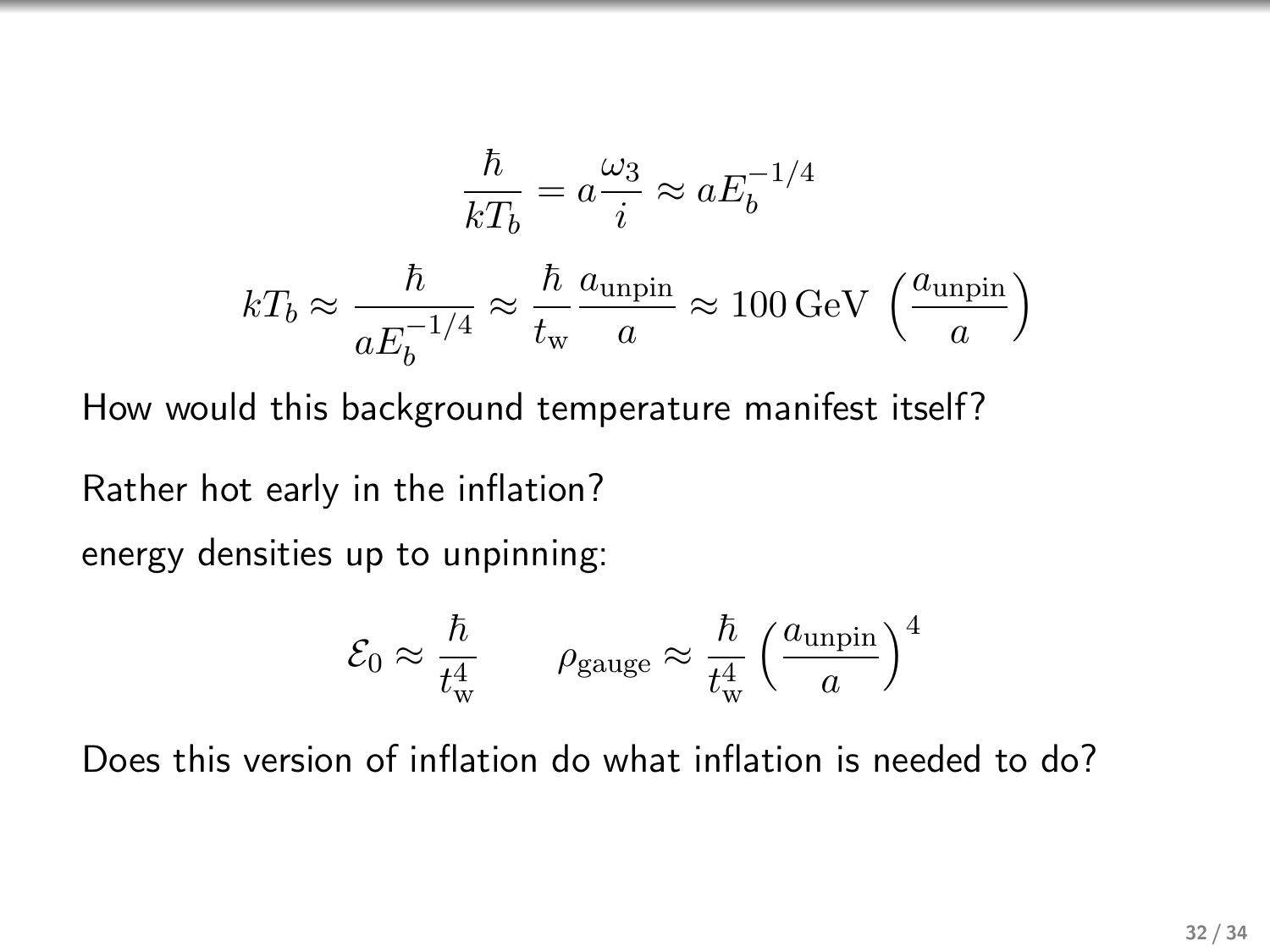$$
\frac{\hbar}{kT_b} = a\frac{\omega_3}{i} \approx aE_b^{-1/4}
$$

$$
kT_b \approx \frac{\hbar}{aE_b^{-1/4}} \approx \frac{\hbar}{t_w} \frac{a_{\text{unpin}}}{a} \approx 100 \,\text{GeV} \,\left(\frac{a_{\text{unpin}}}{a}\right)
$$

How would this background temperature manifest itself?

Rather hot early in the inflation?

energy densities up to unpinning:

$$
\mathcal{E}_0 \approx \frac{\hbar}{t_{\rm w}^4} \qquad \rho_{\rm gauge} \approx \frac{\hbar}{t_{\rm w}^4} \left(\frac{a_{\rm unpin}}{a}\right)^4
$$

Does this version of inflation do what inflation is needed to do?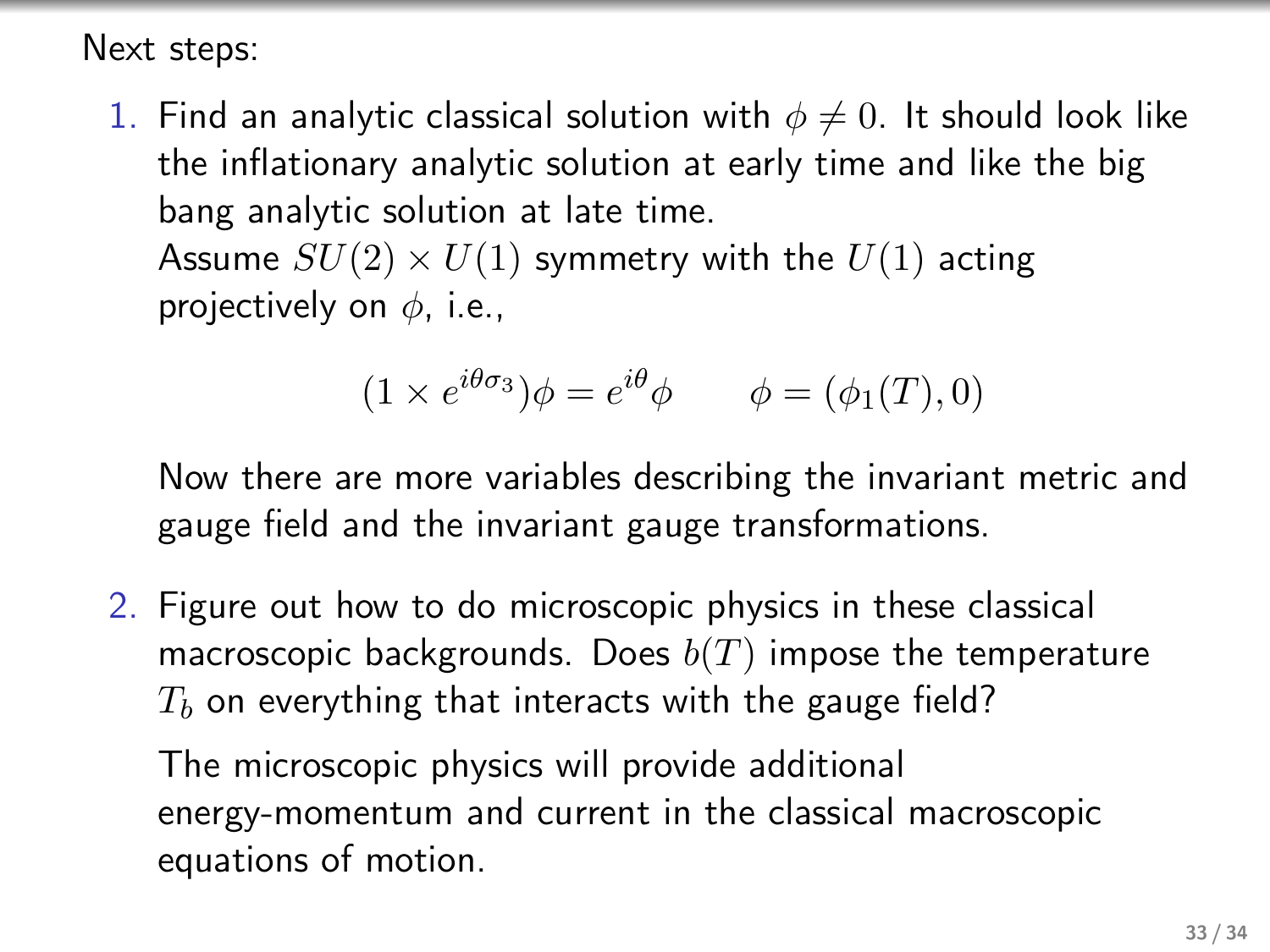Next steps:

1. Find an analytic classical solution with  $\phi \neq 0$ . It should look like the inflationary analytic solution at early time and like the big bang analytic solution at late time. Assume  $SU(2) \times U(1)$  symmetry with the  $U(1)$  acting

projectively on  $\phi$ , i.e.,

$$
(1 \times e^{i\theta \sigma_3})\phi = e^{i\theta}\phi \qquad \phi = (\phi_1(T), 0)
$$

Now there are more variables describing the invariant metric and gauge field and the invariant gauge transformations.

2. Figure out how to do microscopic physics in these classical macroscopic backgrounds. Does  $b(T)$  impose the temperature  $T<sub>b</sub>$  on everything that interacts with the gauge field?

The microscopic physics will provide additional energy-momentum and current in the classical macroscopic equations of motion.